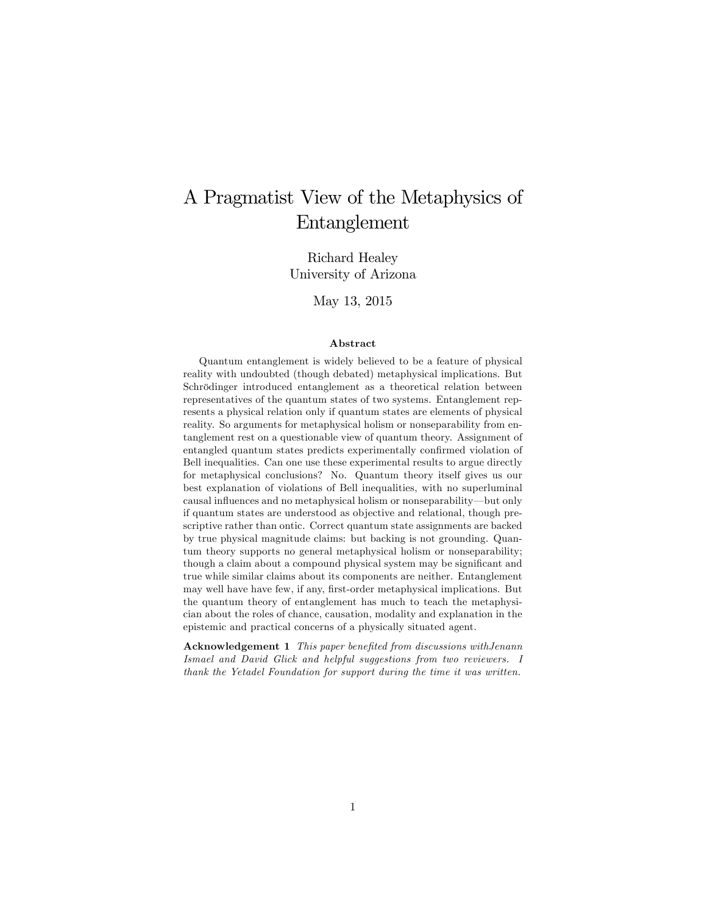# A Pragmatist View of the Metaphysics of Entanglement

Richard Healey University of Arizona

May 13, 2015

#### Abstract

Quantum entanglement is widely believed to be a feature of physical reality with undoubted (though debated) metaphysical implications. But Schrödinger introduced entanglement as a theoretical relation between representatives of the quantum states of two systems. Entanglement represents a physical relation only if quantum states are elements of physical reality. So arguments for metaphysical holism or nonseparability from entanglement rest on a questionable view of quantum theory. Assignment of entangled quantum states predicts experimentally confirmed violation of Bell inequalities. Can one use these experimental results to argue directly for metaphysical conclusions? No. Quantum theory itself gives us our best explanation of violations of Bell inequalities, with no superluminal causal influences and no metaphysical holism or nonseparability—but only if quantum states are understood as objective and relational, though prescriptive rather than ontic. Correct quantum state assignments are backed by true physical magnitude claims: but backing is not grounding. Quantum theory supports no general metaphysical holism or nonseparability; though a claim about a compound physical system may be significant and true while similar claims about its components are neither. Entanglement may well have have few, if any, first-order metaphysical implications. But the quantum theory of entanglement has much to teach the metaphysician about the roles of chance, causation, modality and explanation in the epistemic and practical concerns of a physically situated agent.

Acknowledgement 1 This paper benefited from discussions withJenann Ismael and David Glick and helpful suggestions from two reviewers. I thank the Yetadel Foundation for support during the time it was written.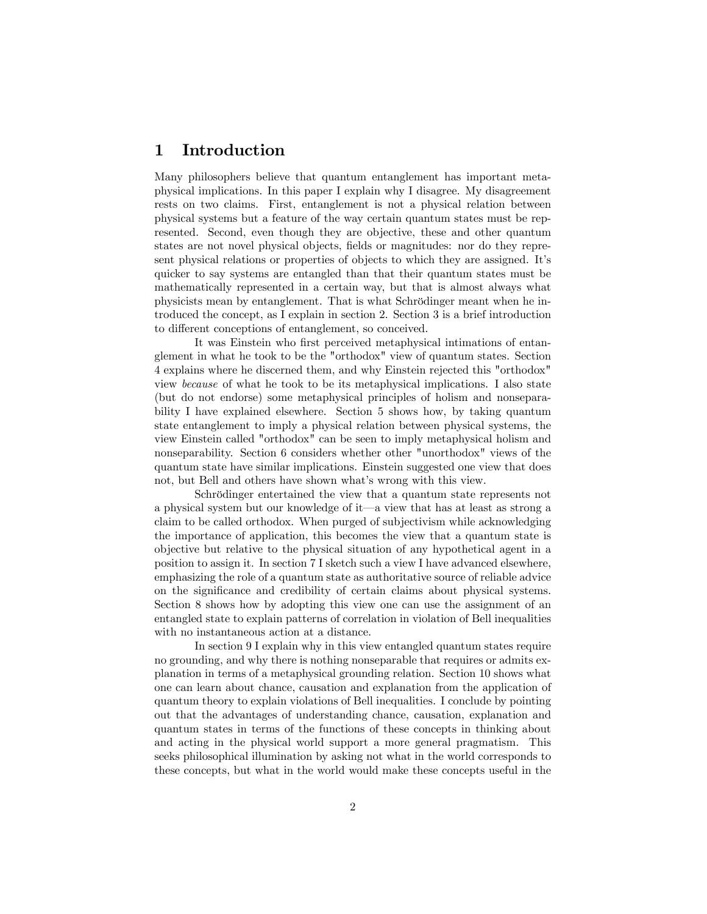### 1 Introduction

Many philosophers believe that quantum entanglement has important metaphysical implications. In this paper I explain why I disagree. My disagreement rests on two claims. First, entanglement is not a physical relation between physical systems but a feature of the way certain quantum states must be represented. Second, even though they are objective, these and other quantum states are not novel physical objects, fields or magnitudes: nor do they represent physical relations or properties of objects to which they are assigned. It's quicker to say systems are entangled than that their quantum states must be mathematically represented in a certain way, but that is almost always what physicists mean by entanglement. That is what Schrödinger meant when he introduced the concept, as I explain in section 2. Section 3 is a brief introduction to different conceptions of entanglement, so conceived.

It was Einstein who first perceived metaphysical intimations of entanglement in what he took to be the "orthodox" view of quantum states. Section 4 explains where he discerned them, and why Einstein rejected this "orthodox" view because of what he took to be its metaphysical implications. I also state (but do not endorse) some metaphysical principles of holism and nonseparability I have explained elsewhere. Section 5 shows how, by taking quantum state entanglement to imply a physical relation between physical systems, the view Einstein called "orthodox" can be seen to imply metaphysical holism and nonseparability. Section 6 considers whether other "unorthodox" views of the quantum state have similar implications. Einstein suggested one view that does not, but Bell and others have shown what's wrong with this view.

Schrödinger entertained the view that a quantum state represents not a physical system but our knowledge of it—a view that has at least as strong a claim to be called orthodox. When purged of subjectivism while acknowledging the importance of application, this becomes the view that a quantum state is objective but relative to the physical situation of any hypothetical agent in a position to assign it. In section 7 I sketch such a view I have advanced elsewhere, emphasizing the role of a quantum state as authoritative source of reliable advice on the significance and credibility of certain claims about physical systems. Section 8 shows how by adopting this view one can use the assignment of an entangled state to explain patterns of correlation in violation of Bell inequalities with no instantaneous action at a distance.

In section 9 I explain why in this view entangled quantum states require no grounding, and why there is nothing nonseparable that requires or admits explanation in terms of a metaphysical grounding relation. Section 10 shows what one can learn about chance, causation and explanation from the application of quantum theory to explain violations of Bell inequalities. I conclude by pointing out that the advantages of understanding chance, causation, explanation and quantum states in terms of the functions of these concepts in thinking about and acting in the physical world support a more general pragmatism. This seeks philosophical illumination by asking not what in the world corresponds to these concepts, but what in the world would make these concepts useful in the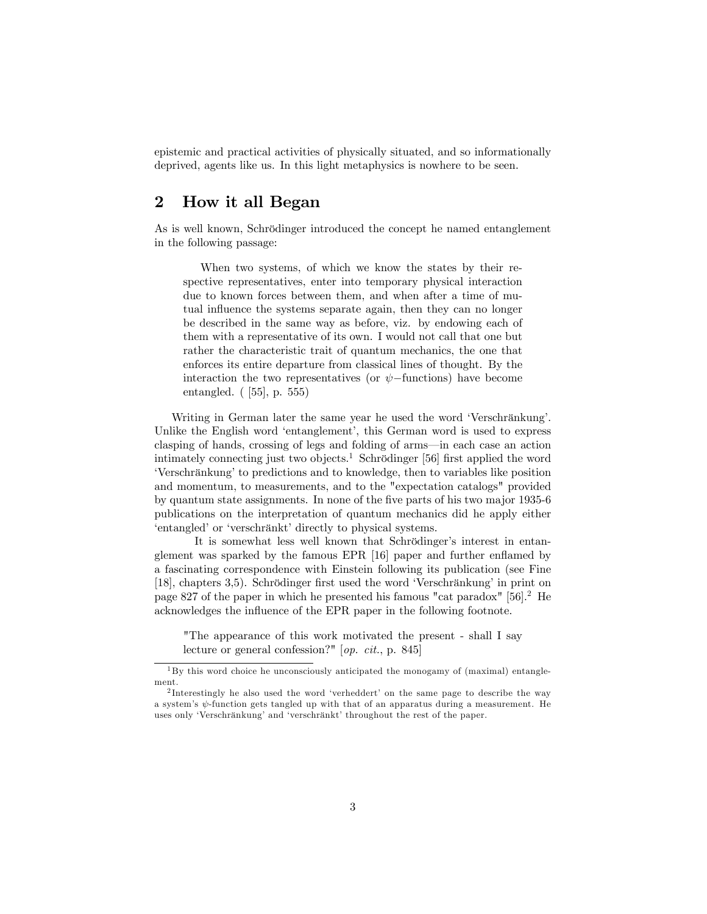epistemic and practical activities of physically situated, and so informationally deprived, agents like us. In this light metaphysics is nowhere to be seen.

## 2 How it all Began

As is well known, Schrödinger introduced the concept he named entanglement in the following passage:

When two systems, of which we know the states by their respective representatives, enter into temporary physical interaction due to known forces between them, and when after a time of mutual influence the systems separate again, then they can no longer be described in the same way as before, viz. by endowing each of them with a representative of its own. I would not call that one but rather the characteristic trait of quantum mechanics, the one that enforces its entire departure from classical lines of thought. By the interaction the two representatives (or  $\psi$ -functions) have become entangled. ( [55], p. 555)

Writing in German later the same year he used the word 'Verschränkung'. Unlike the English word 'entanglement', this German word is used to express clasping of hands, crossing of legs and folding of arms—in each case an action intimately connecting just two objects.<sup>1</sup> Schrödinger [56] first applied the word ëVerschr‰nkungíto predictions and to knowledge, then to variables like position and momentum, to measurements, and to the "expectation catalogs" provided by quantum state assignments. In none of the Öve parts of his two major 1935-6 publications on the interpretation of quantum mechanics did he apply either 'entangled' or 'verschränkt' directly to physical systems.

It is somewhat less well known that Schrödinger's interest in entanglement was sparked by the famous EPR [16] paper and further enflamed by a fascinating correspondence with Einstein following its publication (see Fine [18], chapters 3,5). Schrödinger first used the word 'Verschränkung' in print on page 827 of the paper in which he presented his famous "cat paradox" [56].<sup>2</sup> He acknowledges the influence of the EPR paper in the following footnote.

"The appearance of this work motivated the present - shall I say lecture or general confession?" [op. cit., p. 845]

 $1_{\text{By this word choice he unconsciously anticipated the monogamy of (maximal) entangled$ ment.

<sup>&</sup>lt;sup>2</sup>Interestingly he also used the word 'verheddert' on the same page to describe the way a system's  $\psi$ -function gets tangled up with that of an apparatus during a measurement. He uses only 'Verschränkung' and 'verschränkt' throughout the rest of the paper.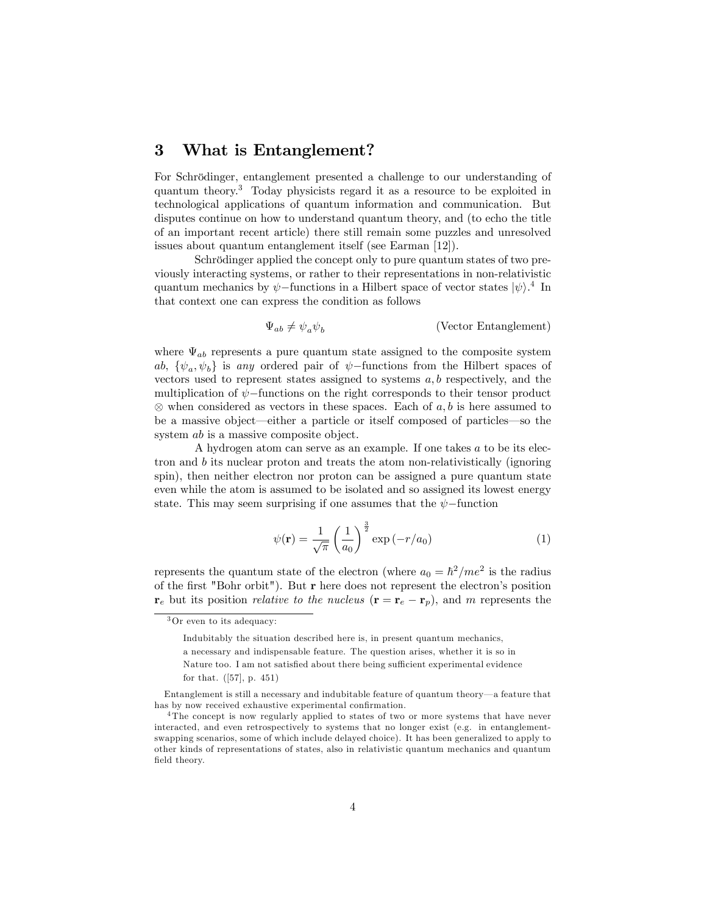#### 3 What is Entanglement?

For Schrödinger, entanglement presented a challenge to our understanding of quantum theory.<sup>3</sup> Today physicists regard it as a resource to be exploited in technological applications of quantum information and communication. But disputes continue on how to understand quantum theory, and (to echo the title of an important recent article) there still remain some puzzles and unresolved issues about quantum entanglement itself (see Earman [12]).

Schrödinger applied the concept only to pure quantum states of two previously interacting systems, or rather to their representations in non-relativistic quantum mechanics by  $\psi$ -functions in a Hilbert space of vector states  $|\psi\rangle$ .<sup>4</sup> In that context one can express the condition as follows

$$
\Psi_{ab} \neq \psi_a \psi_b \tag{Vector Entanglement}
$$

where  $\Psi_{ab}$  represents a pure quantum state assigned to the composite system ab,  $\{\psi_a, \psi_b\}$  is any ordered pair of  $\psi$ -functions from the Hilbert spaces of vectors used to represent states assigned to systems  $a, b$  respectively, and the multiplication of  $\psi$ -functions on the right corresponds to their tensor product  $\otimes$  when considered as vectors in these spaces. Each of  $a, b$  is here assumed to be a massive object—either a particle or itself composed of particles—so the system *ab* is a massive composite object.

A hydrogen atom can serve as an example. If one takes a to be its electron and b its nuclear proton and treats the atom non-relativistically (ignoring spin), then neither electron nor proton can be assigned a pure quantum state even while the atom is assumed to be isolated and so assigned its lowest energy state. This may seem surprising if one assumes that the  $\psi$ -function

$$
\psi(\mathbf{r}) = \frac{1}{\sqrt{\pi}} \left(\frac{1}{a_0}\right)^{\frac{3}{2}} \exp\left(-r/a_0\right) \tag{1}
$$

represents the quantum state of the electron (where  $a_0 = \hbar^2$ /me<sup>2</sup> is the radius of the first "Bohr orbit"). But  $r$  here does not represent the electron's position  $\mathbf{r}_e$  but its position *relative to the nucleus*  $(\mathbf{r} = \mathbf{r}_e - \mathbf{r}_p)$ , and m represents the

<sup>3</sup>Or even to its adequacy:

Indubitably the situation described here is, in present quantum mechanics, a necessary and indispensable feature. The question arises, whether it is so in Nature too. I am not satisfied about there being sufficient experimental evidence for that. ([57], p. 451)

Entanglement is still a necessary and indubitable feature of quantum theory—a feature that has by now received exhaustive experimental confirmation.

<sup>&</sup>lt;sup>4</sup>The concept is now regularly applied to states of two or more systems that have never interacted, and even retrospectively to systems that no longer exist (e.g. in entanglementswapping scenarios, some of which include delayed choice). It has been generalized to apply to other kinds of representations of states, also in relativistic quantum mechanics and quantum field theory.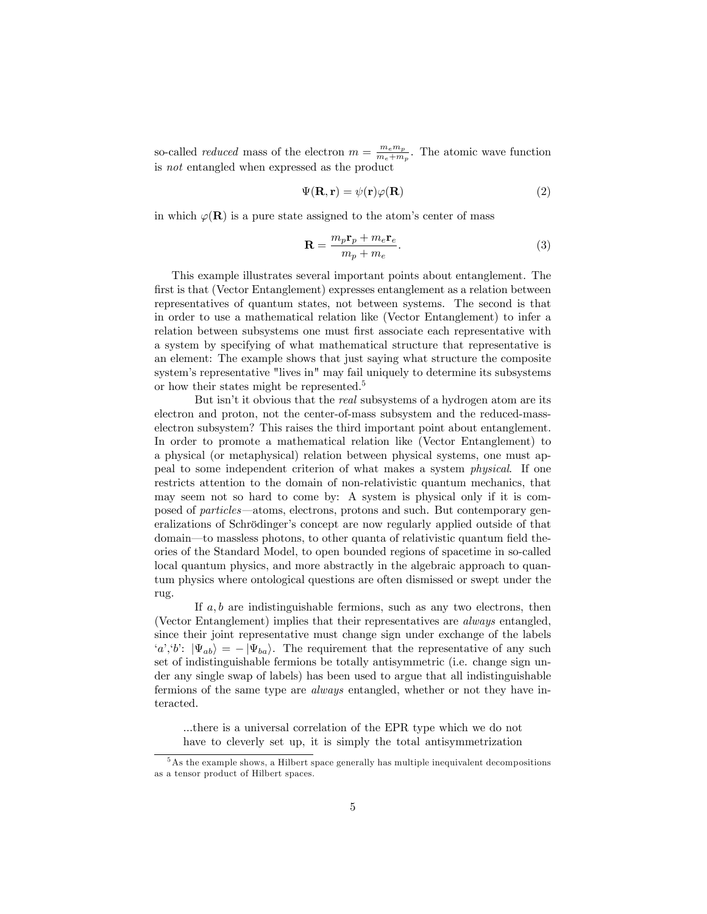so-called *reduced* mass of the electron  $m = \frac{m_e m_p}{m_{em} + m}$  $\frac{m_e m_p}{m_e + m_p}$ . The atomic wave function is not entangled when expressed as the product

$$
\Psi(\mathbf{R}, \mathbf{r}) = \psi(\mathbf{r})\varphi(\mathbf{R})
$$
\n(2)

in which  $\varphi(\mathbf{R})$  is a pure state assigned to the atom's center of mass

$$
\mathbf{R} = \frac{m_p \mathbf{r}_p + m_e \mathbf{r}_e}{m_p + m_e}.
$$
 (3)

This example illustrates several important points about entanglement. The first is that (Vector Entanglement) expresses entanglement as a relation between representatives of quantum states, not between systems. The second is that in order to use a mathematical relation like (Vector Entanglement) to infer a relation between subsystems one must first associate each representative with a system by specifying of what mathematical structure that representative is an element: The example shows that just saying what structure the composite system's representative "lives in" may fail uniquely to determine its subsystems or how their states might be represented.<sup>5</sup>

But isn't it obvious that the *real* subsystems of a hydrogen atom are its electron and proton, not the center-of-mass subsystem and the reduced-masselectron subsystem? This raises the third important point about entanglement. In order to promote a mathematical relation like (Vector Entanglement) to a physical (or metaphysical) relation between physical systems, one must appeal to some independent criterion of what makes a system physical. If one restricts attention to the domain of non-relativistic quantum mechanics, that may seem not so hard to come by: A system is physical only if it is composed of *particles*—atoms, electrons, protons and such. But contemporary generalizations of Schrödinger's concept are now regularly applied outside of that domain—to massless photons, to other quanta of relativistic quantum field theories of the Standard Model, to open bounded regions of spacetime in so-called local quantum physics, and more abstractly in the algebraic approach to quantum physics where ontological questions are often dismissed or swept under the rug.

If  $a, b$  are indistinguishable fermions, such as any two electrons, then (Vector Entanglement) implies that their representatives are always entangled, since their joint representative must change sign under exchange of the labels  $\langle a',b' : |\Psi_{ab}\rangle = -|\Psi_{ba}\rangle$ . The requirement that the representative of any such set of indistinguishable fermions be totally antisymmetric (i.e. change sign under any single swap of labels) has been used to argue that all indistinguishable fermions of the same type are always entangled, whether or not they have interacted.

...there is a universal correlation of the EPR type which we do not have to cleverly set up, it is simply the total antisymmetrization

 $5$ As the example shows, a Hilbert space generally has multiple inequivalent decompositions as a tensor product of Hilbert spaces.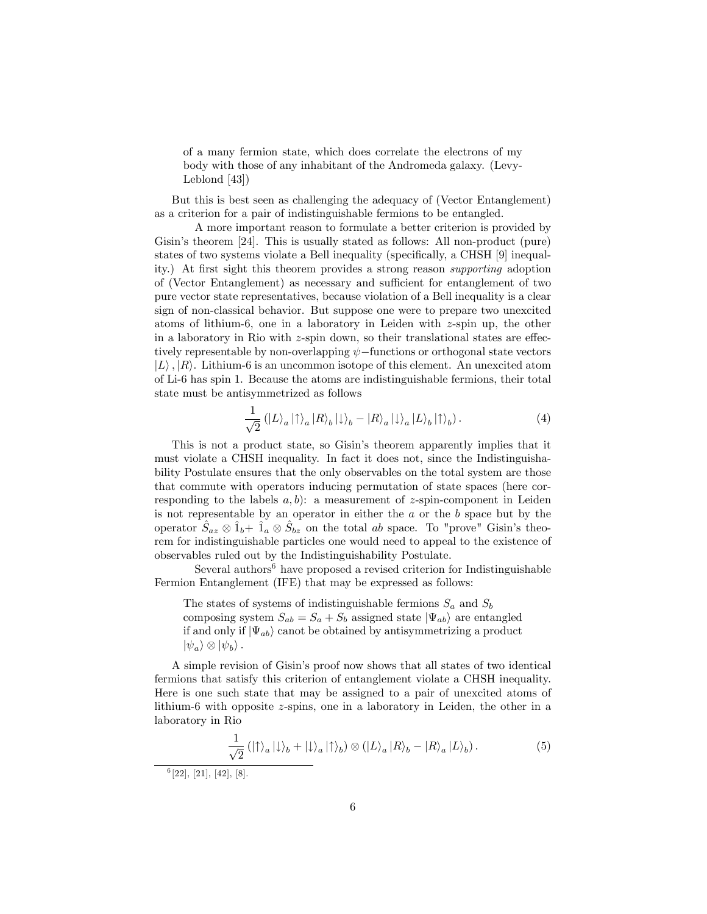of a many fermion state, which does correlate the electrons of my body with those of any inhabitant of the Andromeda galaxy. (Levy-Leblond [43])

But this is best seen as challenging the adequacy of (Vector Entanglement) as a criterion for a pair of indistinguishable fermions to be entangled.

A more important reason to formulate a better criterion is provided by Gisin's theorem [24]. This is usually stated as follows: All non-product (pure) states of two systems violate a Bell inequality (specifically, a CHSH [9] inequality.) At first sight this theorem provides a strong reason *supporting* adoption of (Vector Entanglement) as necessary and sufficient for entanglement of two pure vector state representatives, because violation of a Bell inequality is a clear sign of non-classical behavior. But suppose one were to prepare two unexcited atoms of lithium-6, one in a laboratory in Leiden with z-spin up, the other in a laboratory in Rio with  $z$ -spin down, so their translational states are effectively representable by non-overlapping  $\psi$ -functions or orthogonal state vectors  $|L\rangle$ ,  $|R\rangle$ . Lithium-6 is an uncommon isotope of this element. An unexcited atom of Li-6 has spin 1. Because the atoms are indistinguishable fermions, their total state must be antisymmetrized as follows

$$
\frac{1}{\sqrt{2}} \left( |L\rangle_a | \uparrow \rangle_a |R\rangle_b | \downarrow \rangle_b - |R\rangle_a | \downarrow \rangle_a |L\rangle_b | \uparrow \rangle_b \right). \tag{4}
$$

This is not a product state, so Gisin's theorem apparently implies that it must violate a CHSH inequality. In fact it does not, since the Indistinguishability Postulate ensures that the only observables on the total system are those that commute with operators inducing permutation of state spaces (here corresponding to the labels  $a, b$ : a measurement of z-spin-component in Leiden is not representable by an operator in either the  $a$  or the  $b$  space but by the operator  $\hat{S}_{az} \otimes \hat{1}_b + \hat{1}_a \otimes \hat{S}_{bz}$  on the total ab space. To "prove" Gisin's theorem for indistinguishable particles one would need to appeal to the existence of observables ruled out by the Indistinguishability Postulate.

Several authors<sup>6</sup> have proposed a revised criterion for Indistinguishable Fermion Entanglement (IFE) that may be expressed as follows:

The states of systems of indistinguishable fermions  $S_a$  and  $S_b$ composing system  $S_{ab} = S_a + S_b$  assigned state  $|\Psi_{ab}\rangle$  are entangled if and only if  $|\Psi_{ab}\rangle$  canot be obtained by antisymmetrizing a product  $|\psi_a\rangle \otimes |\psi_b\rangle$ .

A simple revision of Gisin's proof now shows that all states of two identical fermions that satisfy this criterion of entanglement violate a CHSH inequality. Here is one such state that may be assigned to a pair of unexcited atoms of lithium-6 with opposite z-spins, one in a laboratory in Leiden, the other in a laboratory in Rio

$$
\frac{1}{\sqrt{2}}\left(|\uparrow\rangle_a|\downarrow\rangle_b+|\downarrow\rangle_a|\uparrow\rangle_b\right)\otimes (|L\rangle_a|R\rangle_b-|R\rangle_a|L\rangle_b).
$$
 (5)

 $6$  [22], [21], [42], [8].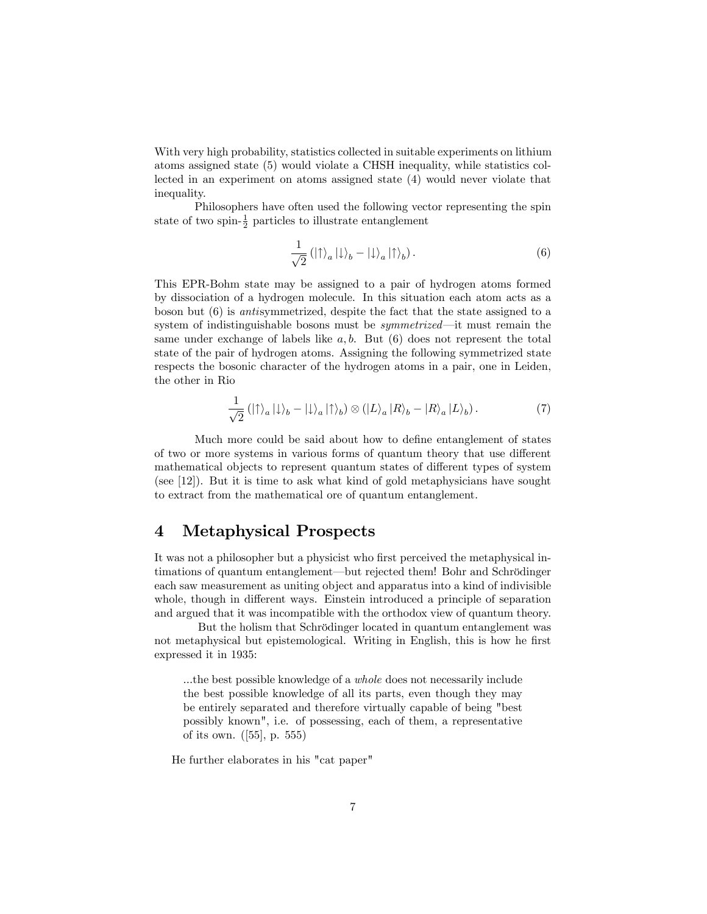With very high probability, statistics collected in suitable experiments on lithium atoms assigned state (5) would violate a CHSH inequality, while statistics collected in an experiment on atoms assigned state (4) would never violate that inequality.

Philosophers have often used the following vector representing the spin state of two spin- $\frac{1}{2}$  particles to illustrate entanglement

$$
\frac{1}{\sqrt{2}} \left( |\uparrow\rangle_a | \downarrow\rangle_b - |\downarrow\rangle_a | \uparrow\rangle_b \right).
$$
 (6)

This EPR-Bohm state may be assigned to a pair of hydrogen atoms formed by dissociation of a hydrogen molecule. In this situation each atom acts as a boson but (6) is antisymmetrized, despite the fact that the state assigned to a system of indistinguishable bosons must be *symmetrized*—it must remain the same under exchange of labels like  $a, b$ . But  $(6)$  does not represent the total state of the pair of hydrogen atoms. Assigning the following symmetrized state respects the bosonic character of the hydrogen atoms in a pair, one in Leiden, the other in Rio

$$
\frac{1}{\sqrt{2}} \left( |\uparrow\rangle_a | \downarrow\rangle_b - |\downarrow\rangle_a | \uparrow\rangle_b \right) \otimes (|L\rangle_a | R\rangle_b - |R\rangle_a | L\rangle_b). \tag{7}
$$

Much more could be said about how to define entanglement of states of two or more systems in various forms of quantum theory that use different mathematical objects to represent quantum states of different types of system (see [12]). But it is time to ask what kind of gold metaphysicians have sought to extract from the mathematical ore of quantum entanglement.

### 4 Metaphysical Prospects

It was not a philosopher but a physicist who first perceived the metaphysical intimations of quantum entanglement—but rejected them! Bohr and Schrödinger each saw measurement as uniting object and apparatus into a kind of indivisible whole, though in different ways. Einstein introduced a principle of separation and argued that it was incompatible with the orthodox view of quantum theory.

But the holism that Schrödinger located in quantum entanglement was not metaphysical but epistemological. Writing in English, this is how he first expressed it in 1935:

...the best possible knowledge of a *whole* does not necessarily include the best possible knowledge of all its parts, even though they may be entirely separated and therefore virtually capable of being "best possibly known", i.e. of possessing, each of them, a representative of its own. ([55], p. 555)

He further elaborates in his "cat paper"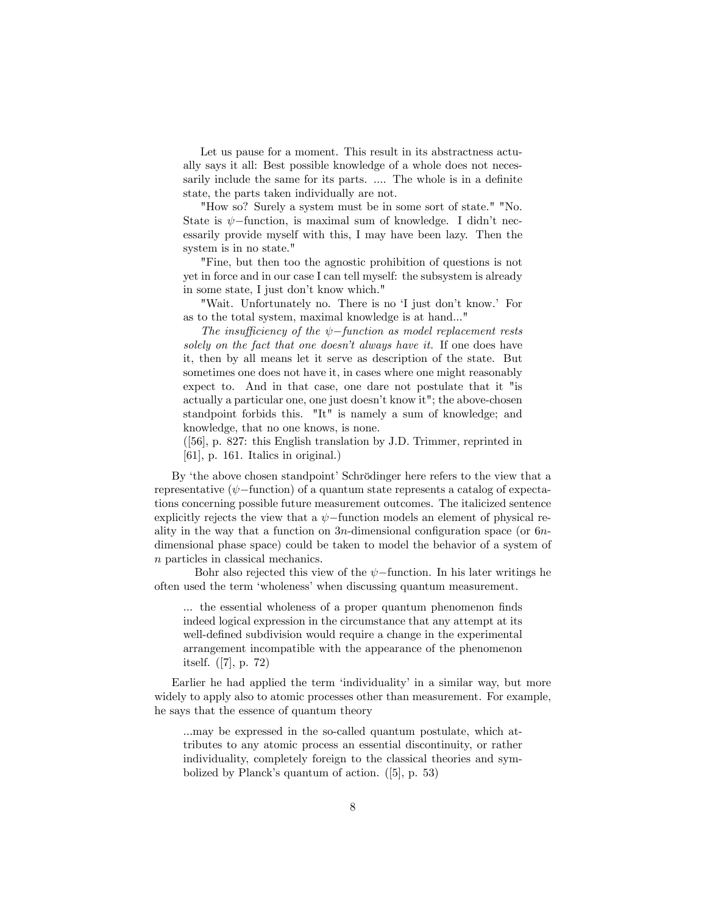Let us pause for a moment. This result in its abstractness actually says it all: Best possible knowledge of a whole does not necessarily include the same for its parts. .... The whole is in a definite state, the parts taken individually are not.

"How so? Surely a system must be in some sort of state." "No. State is  $\psi$ -function, is maximal sum of knowledge. I didn't necessarily provide myself with this, I may have been lazy. Then the system is in no state."

"Fine, but then too the agnostic prohibition of questions is not yet in force and in our case I can tell myself: the subsystem is already in some state, I just don't know which."

"Wait. Unfortunately no. There is no 'I just don't know.' For as to the total system, maximal knowledge is at hand..."

The insufficiency of the  $\psi$ -function as model replacement rests solely on the fact that one doesn't always have it. If one does have it, then by all means let it serve as description of the state. But sometimes one does not have it, in cases where one might reasonably expect to. And in that case, one dare not postulate that it "is actually a particular one, one just doesn't know it"; the above-chosen standpoint forbids this. "It" is namely a sum of knowledge; and knowledge, that no one knows, is none.

([56], p. 827: this English translation by J.D. Trimmer, reprinted in [61], p. 161. Italics in original.)

By 'the above chosen standpoint' Schrödinger here refers to the view that a representative ( $\psi$ -function) of a quantum state represents a catalog of expectations concerning possible future measurement outcomes. The italicized sentence explicitly rejects the view that a  $\psi$ -function models an element of physical reality in the way that a function on  $3n$ -dimensional configuration space (or  $6n$ dimensional phase space) could be taken to model the behavior of a system of n particles in classical mechanics.

Bohr also rejected this view of the  $\psi$ -function. In his later writings he often used the term ëwholenessíwhen discussing quantum measurement.

... the essential wholeness of a proper quantum phenomenon finds indeed logical expression in the circumstance that any attempt at its well-defined subdivision would require a change in the experimental arrangement incompatible with the appearance of the phenomenon itself. ([7], p. 72)

Earlier he had applied the term 'individuality' in a similar way, but more widely to apply also to atomic processes other than measurement. For example, he says that the essence of quantum theory

...may be expressed in the so-called quantum postulate, which attributes to any atomic process an essential discontinuity, or rather individuality, completely foreign to the classical theories and symbolized by Planck's quantum of action.  $([5], p. 53)$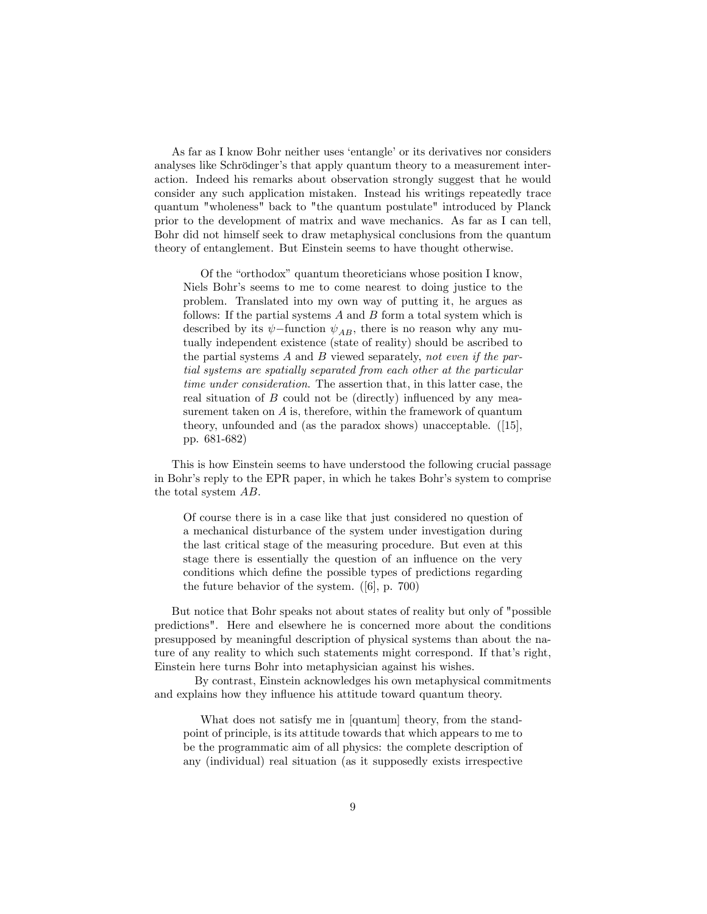As far as I know Bohr neither uses 'entangle' or its derivatives nor considers analyses like Schrödinger's that apply quantum theory to a measurement interaction. Indeed his remarks about observation strongly suggest that he would consider any such application mistaken. Instead his writings repeatedly trace quantum "wholeness" back to "the quantum postulate" introduced by Planck prior to the development of matrix and wave mechanics. As far as I can tell, Bohr did not himself seek to draw metaphysical conclusions from the quantum theory of entanglement. But Einstein seems to have thought otherwise.

Of the "orthodox" quantum theoreticians whose position I know, Niels Bohr's seems to me to come nearest to doing justice to the problem. Translated into my own way of putting it, he argues as follows: If the partial systems  $A$  and  $B$  form a total system which is described by its  $\psi$ -function  $\psi_{AB}$ , there is no reason why any mutually independent existence (state of reality) should be ascribed to the partial systems  $A$  and  $B$  viewed separately, not even if the partial systems are spatially separated from each other at the particular time under consideration. The assertion that, in this latter case, the real situation of  $B$  could not be (directly) influenced by any measurement taken on  $A$  is, therefore, within the framework of quantum theory, unfounded and (as the paradox shows) unacceptable. ([15], pp. 681-682)

This is how Einstein seems to have understood the following crucial passage in Bohr's reply to the EPR paper, in which he takes Bohr's system to comprise the total system AB.

Of course there is in a case like that just considered no question of a mechanical disturbance of the system under investigation during the last critical stage of the measuring procedure. But even at this stage there is essentially the question of an influence on the very conditions which define the possible types of predictions regarding the future behavior of the system. ([6], p. 700)

But notice that Bohr speaks not about states of reality but only of "possible predictions". Here and elsewhere he is concerned more about the conditions presupposed by meaningful description of physical systems than about the nature of any reality to which such statements might correspond. If that's right, Einstein here turns Bohr into metaphysician against his wishes.

By contrast, Einstein acknowledges his own metaphysical commitments and explains how they influence his attitude toward quantum theory.

What does not satisfy me in [quantum] theory, from the standpoint of principle, is its attitude towards that which appears to me to be the programmatic aim of all physics: the complete description of any (individual) real situation (as it supposedly exists irrespective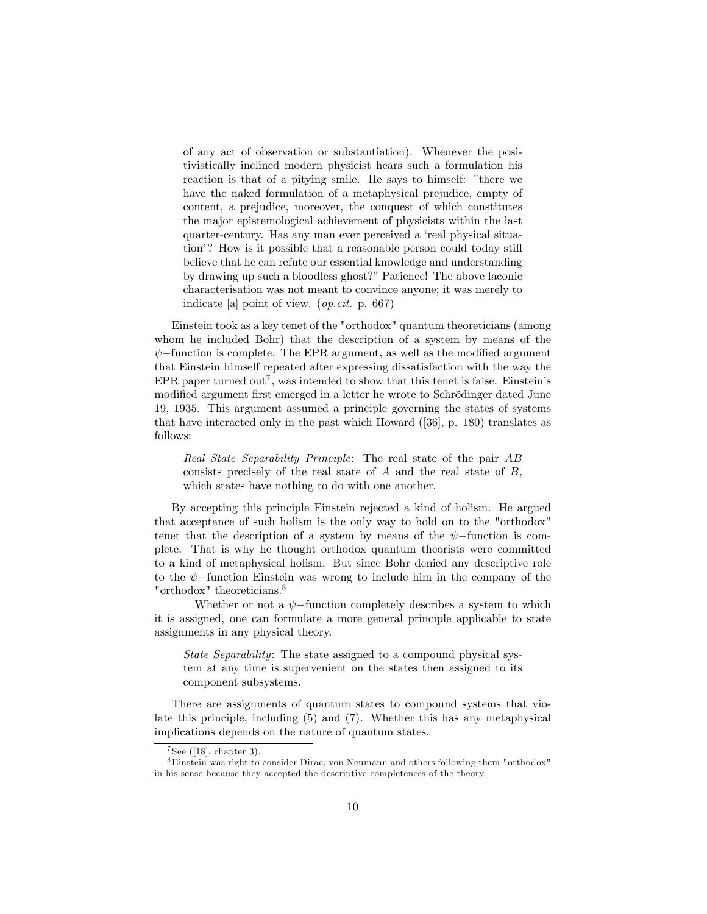of any act of observation or substantiation). Whenever the positivistically inclined modern physicist hears such a formulation his reaction is that of a pitying smile. He says to himself: "there we have the naked formulation of a metaphysical prejudice, empty of content, a prejudice, moreover, the conquest of which constitutes the major epistemological achievement of physicists within the last quarter-century. Has any man ever perceived a 'real physical situation<sup>'?</sup> How is it possible that a reasonable person could today still believe that he can refute our essential knowledge and understanding by drawing up such a bloodless ghost?" Patience! The above laconic characterisation was not meant to convince anyone; it was merely to indicate [a] point of view. (op.cit. p. 667)

Einstein took as a key tenet of the "orthodox" quantum theoreticians (among whom he included Bohr) that the description of a system by means of the  $\psi$ -function is complete. The EPR argument, as well as the modified argument that Einstein himself repeated after expressing dissatisfaction with the way the EPR paper turned out<sup>7</sup>, was intended to show that this tenet is false. Einstein's modified argument first emerged in a letter he wrote to Schrödinger dated June 19, 1935. This argument assumed a principle governing the states of systems that have interacted only in the past which Howard ([36], p. 180) translates as follows:

Real State Separability Principle: The real state of the pair AB consists precisely of the real state of A and the real state of B, which states have nothing to do with one another.

By accepting this principle Einstein rejected a kind of holism. He argued that acceptance of such holism is the only way to hold on to the "orthodox" tenet that the description of a system by means of the  $\psi$ -function is complete. That is why he thought orthodox quantum theorists were committed to a kind of metaphysical holism. But since Bohr denied any descriptive role to the  $\psi$ -function Einstein was wrong to include him in the company of the "orthodox" theoreticians.<sup>8</sup>

Whether or not a  $\psi$ -function completely describes a system to which it is assigned, one can formulate a more general principle applicable to state assignments in any physical theory.

State Separability: The state assigned to a compound physical system at any time is supervenient on the states then assigned to its component subsystems.

There are assignments of quantum states to compound systems that violate this principle, including (5) and (7). Whether this has any metaphysical implications depends on the nature of quantum states.

 $7$  See ([18], chapter 3).

<sup>8</sup>Einstein was right to consider Dirac, von Neumann and others following them "orthodox" in his sense because they accepted the descriptive completeness of the theory.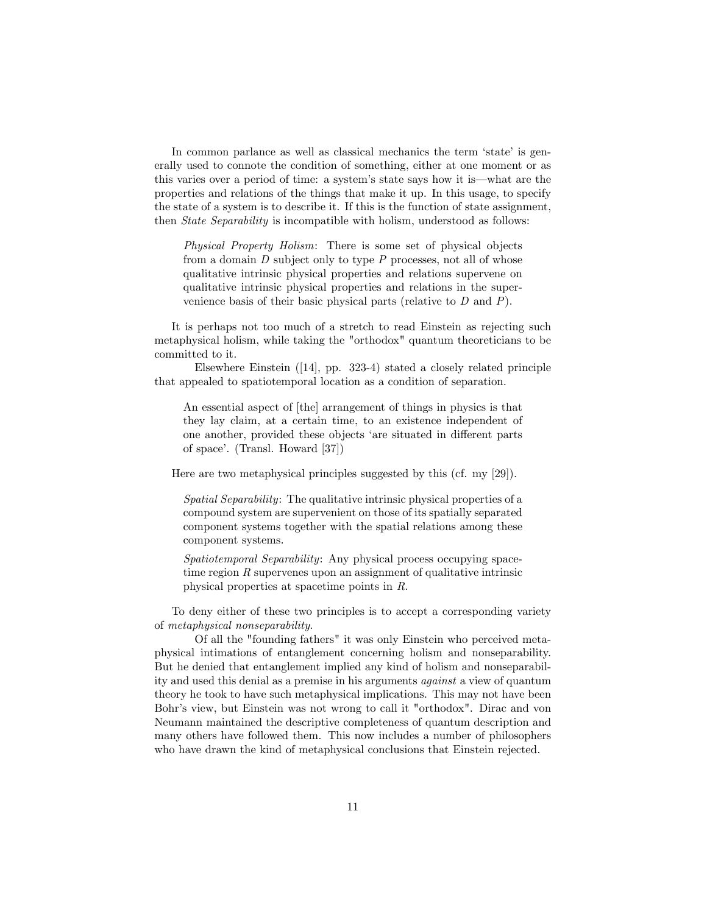In common parlance as well as classical mechanics the term 'state' is generally used to connote the condition of something, either at one moment or as this varies over a period of time: a system's state says how it is —what are the properties and relations of the things that make it up. In this usage, to specify the state of a system is to describe it. If this is the function of state assignment, then State Separability is incompatible with holism, understood as follows:

Physical Property Holism: There is some set of physical objects from a domain  $D$  subject only to type  $P$  processes, not all of whose qualitative intrinsic physical properties and relations supervene on qualitative intrinsic physical properties and relations in the supervenience basis of their basic physical parts (relative to D and P).

It is perhaps not too much of a stretch to read Einstein as rejecting such metaphysical holism, while taking the "orthodox" quantum theoreticians to be committed to it.

Elsewhere Einstein ([14], pp. 323-4) stated a closely related principle that appealed to spatiotemporal location as a condition of separation.

An essential aspect of [the] arrangement of things in physics is that they lay claim, at a certain time, to an existence independent of one another, provided these objects 'are situated in different parts of space'. (Transl. Howard [37])

Here are two metaphysical principles suggested by this (cf. my [29]).

Spatial Separability: The qualitative intrinsic physical properties of a compound system are supervenient on those of its spatially separated component systems together with the spatial relations among these component systems.

Spatiotemporal Separability: Any physical process occupying spacetime region  $R$  supervenes upon an assignment of qualitative intrinsic physical properties at spacetime points in R.

To deny either of these two principles is to accept a corresponding variety of metaphysical nonseparability.

Of all the "founding fathers" it was only Einstein who perceived metaphysical intimations of entanglement concerning holism and nonseparability. But he denied that entanglement implied any kind of holism and nonseparability and used this denial as a premise in his arguments against a view of quantum theory he took to have such metaphysical implications. This may not have been Bohr's view, but Einstein was not wrong to call it "orthodox". Dirac and von Neumann maintained the descriptive completeness of quantum description and many others have followed them. This now includes a number of philosophers who have drawn the kind of metaphysical conclusions that Einstein rejected.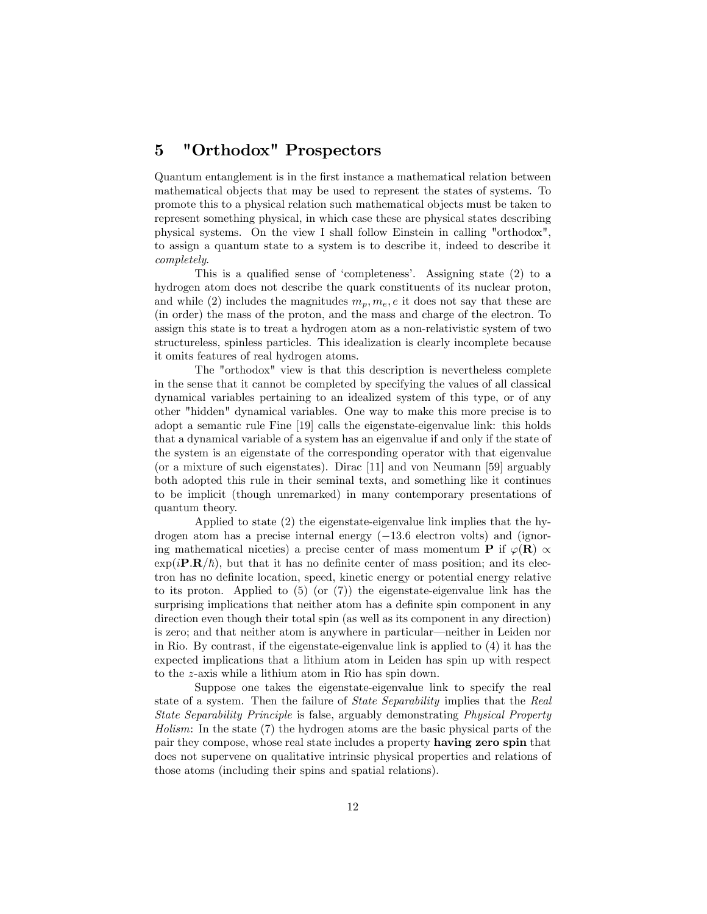# 5 "Orthodox" Prospectors

Quantum entanglement is in the Örst instance a mathematical relation between mathematical objects that may be used to represent the states of systems. To promote this to a physical relation such mathematical objects must be taken to represent something physical, in which case these are physical states describing physical systems. On the view I shall follow Einstein in calling "orthodox", to assign a quantum state to a system is to describe it, indeed to describe it completely.

This is a qualified sense of 'completeness'. Assigning state  $(2)$  to a hydrogen atom does not describe the quark constituents of its nuclear proton, and while (2) includes the magnitudes  $m_p, m_e, e$  it does not say that these are (in order) the mass of the proton, and the mass and charge of the electron. To assign this state is to treat a hydrogen atom as a non-relativistic system of two structureless, spinless particles. This idealization is clearly incomplete because it omits features of real hydrogen atoms.

The "orthodox" view is that this description is nevertheless complete in the sense that it cannot be completed by specifying the values of all classical dynamical variables pertaining to an idealized system of this type, or of any other "hidden" dynamical variables. One way to make this more precise is to adopt a semantic rule Fine [19] calls the eigenstate-eigenvalue link: this holds that a dynamical variable of a system has an eigenvalue if and only if the state of the system is an eigenstate of the corresponding operator with that eigenvalue (or a mixture of such eigenstates). Dirac [11] and von Neumann [59] arguably both adopted this rule in their seminal texts, and something like it continues to be implicit (though unremarked) in many contemporary presentations of quantum theory.

Applied to state (2) the eigenstate-eigenvalue link implies that the hydrogen atom has a precise internal energy  $(-13.6 \text{ electron volts})$  and (ignoring mathematical niceties) a precise center of mass momentum **P** if  $\varphi(\mathbf{R}) \propto$  $\exp(i\mathbf{P}.\mathbf{R}/\hbar)$ , but that it has no definite center of mass position; and its electron has no definite location, speed, kinetic energy or potential energy relative to its proton. Applied to  $(5)$  (or  $(7)$ ) the eigenstate-eigenvalue link has the surprising implications that neither atom has a definite spin component in any direction even though their total spin (as well as its component in any direction) is zero; and that neither atom is anywhere in particular—neither in Leiden nor in Rio. By contrast, if the eigenstate-eigenvalue link is applied to (4) it has the expected implications that a lithium atom in Leiden has spin up with respect to the z-axis while a lithium atom in Rio has spin down.

Suppose one takes the eigenstate-eigenvalue link to specify the real state of a system. Then the failure of *State Separability* implies that the Real State Separability Principle is false, arguably demonstrating Physical Property Holism: In the state (7) the hydrogen atoms are the basic physical parts of the pair they compose, whose real state includes a property having zero spin that does not supervene on qualitative intrinsic physical properties and relations of those atoms (including their spins and spatial relations).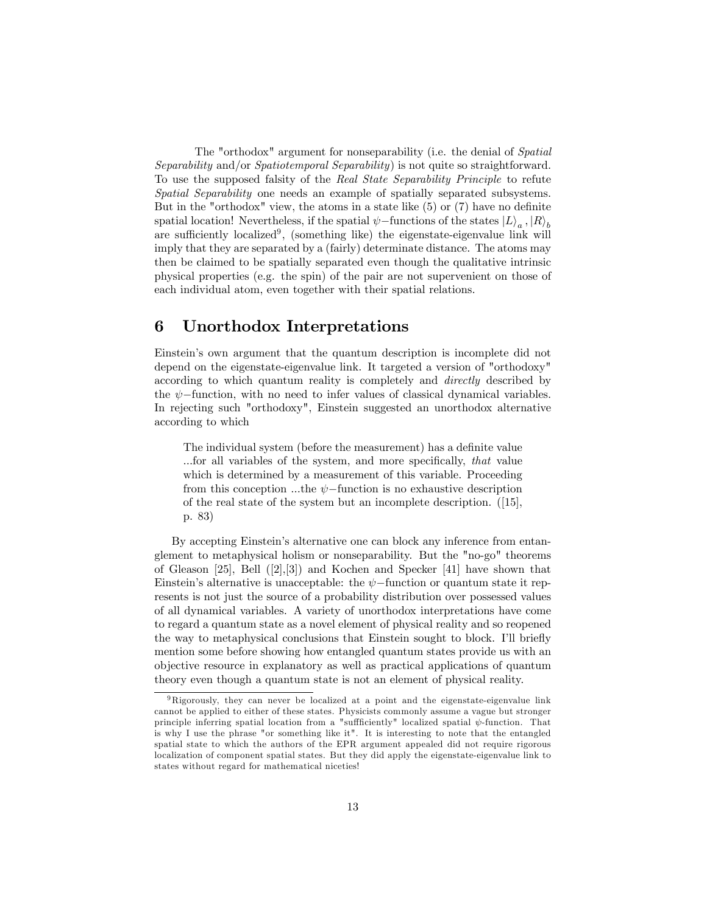The "orthodox" argument for nonseparability (i.e. the denial of Spatial Separability and/or Spatiotemporal Separability) is not quite so straightforward. To use the supposed falsity of the Real State Separability Principle to refute Spatial Separability one needs an example of spatially separated subsystems. But in the "orthodox" view, the atoms in a state like  $(5)$  or  $(7)$  have no definite spatial location! Nevertheless, if the spatial  $\psi$ -functions of the states  $|L\rangle_a$ ,  $|R\rangle_b$ are sufficiently localized<sup>9</sup>, (something like) the eigenstate-eigenvalue link will imply that they are separated by a (fairly) determinate distance. The atoms may then be claimed to be spatially separated even though the qualitative intrinsic physical properties (e.g. the spin) of the pair are not supervenient on those of each individual atom, even together with their spatial relations.

#### 6 Unorthodox Interpretations

Einsteinís own argument that the quantum description is incomplete did not depend on the eigenstate-eigenvalue link. It targeted a version of "orthodoxy" according to which quantum reality is completely and directly described by the  $\psi$ -function, with no need to infer values of classical dynamical variables. In rejecting such "orthodoxy", Einstein suggested an unorthodox alternative according to which

The individual system (before the measurement) has a definite value ...for all variables of the system, and more specifically, that value which is determined by a measurement of this variable. Proceeding from this conception ...the  $\psi$ -function is no exhaustive description of the real state of the system but an incomplete description. ([15], p. 83)

By accepting Einstein's alternative one can block any inference from entanglement to metaphysical holism or nonseparability. But the "no-go" theorems of Gleason [25], Bell ([2],[3]) and Kochen and Specker [41] have shown that Einstein's alternative is unacceptable: the  $\psi$ -function or quantum state it represents is not just the source of a probability distribution over possessed values of all dynamical variables. A variety of unorthodox interpretations have come to regard a quantum state as a novel element of physical reality and so reopened the way to metaphysical conclusions that Einstein sought to block. I'll briefly mention some before showing how entangled quantum states provide us with an objective resource in explanatory as well as practical applications of quantum theory even though a quantum state is not an element of physical reality.

<sup>&</sup>lt;sup>9</sup>Rigorously, they can never be localized at a point and the eigenstate-eigenvalue link cannot be applied to either of these states. Physicists commonly assume a vague but stronger principle inferring spatial location from a "sufficiently" localized spatial  $\psi$ -function. That is why I use the phrase "or something like it". It is interesting to note that the entangled spatial state to which the authors of the EPR argument appealed did not require rigorous localization of component spatial states. But they did apply the eigenstate-eigenvalue link to states without regard for mathematical niceties!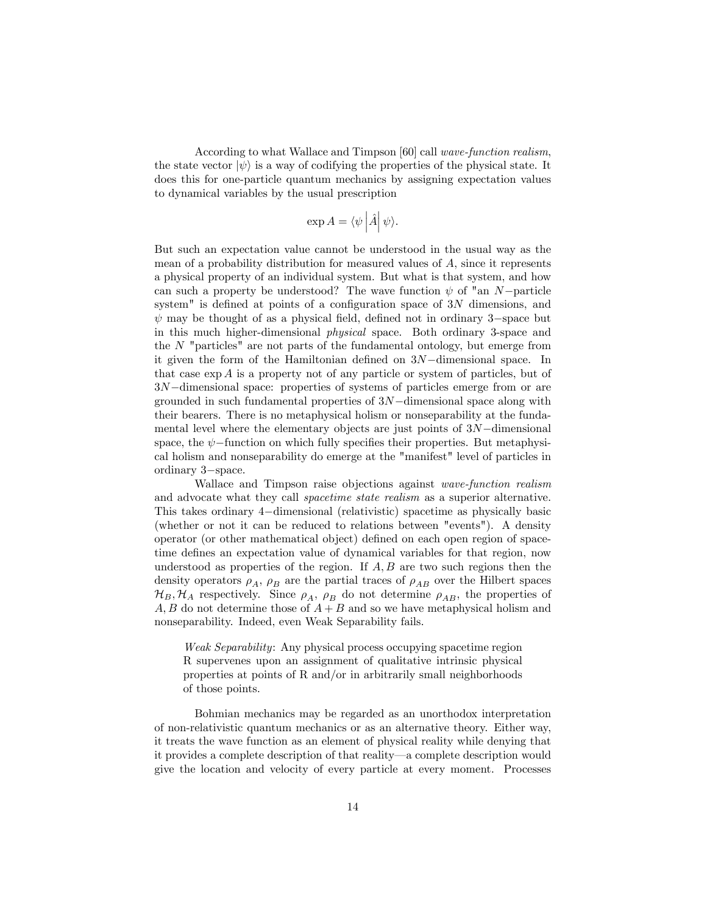According to what Wallace and Timpson [60] call wave-function realism, the state vector  $|\psi\rangle$  is a way of codifying the properties of the physical state. It does this for one-particle quantum mechanics by assigning expectation values to dynamical variables by the usual prescription

$$
\exp A = \langle \psi \left| \hat{A} \right| \psi \rangle.
$$

But such an expectation value cannot be understood in the usual way as the mean of a probability distribution for measured values of  $A$ , since it represents a physical property of an individual system. But what is that system, and how can such a property be understood? The wave function  $\psi$  of "an N-particle system" is defined at points of a configuration space of  $3N$  dimensions, and  $\psi$  may be thought of as a physical field, defined not in ordinary 3-space but in this much higher-dimensional physical space. Both ordinary 3-space and the  $N$  "particles" are not parts of the fundamental ontology, but emerge from it given the form of the Hamiltonian defined on  $3N$ -dimensional space. In that case exp A is a property not of any particle or system of particles, but of  $3N$ -dimensional space: properties of systems of particles emerge from or are grounded in such fundamental properties of  $3N$ -dimensional space along with their bearers. There is no metaphysical holism or nonseparability at the fundamental level where the elementary objects are just points of  $3N$ -dimensional space, the  $\psi$ -function on which fully specifies their properties. But metaphysical holism and nonseparability do emerge at the "manifest" level of particles in ordinary 3-space.

Wallace and Timpson raise objections against *wave-function realism* and advocate what they call spacetime state realism as a superior alternative. This takes ordinary 4-dimensional (relativistic) spacetime as physically basic (whether or not it can be reduced to relations between "events"). A density operator (or other mathematical object) deÖned on each open region of spacetime defines an expectation value of dynamical variables for that region, now understood as properties of the region. If  $A, B$  are two such regions then the density operators  $\rho_A$ ,  $\rho_B$  are the partial traces of  $\rho_{AB}$  over the Hilbert spaces  $\mathcal{H}_B$ ,  $\mathcal{H}_A$  respectively. Since  $\rho_A$ ,  $\rho_B$  do not determine  $\rho_{AB}$ , the properties of  $A, B$  do not determine those of  $A + B$  and so we have metaphysical holism and nonseparability. Indeed, even Weak Separability fails.

Weak Separability: Any physical process occupying spacetime region R supervenes upon an assignment of qualitative intrinsic physical properties at points of R and/or in arbitrarily small neighborhoods of those points.

Bohmian mechanics may be regarded as an unorthodox interpretation of non-relativistic quantum mechanics or as an alternative theory. Either way, it treats the wave function as an element of physical reality while denying that it provides a complete description of that reality—a complete description would give the location and velocity of every particle at every moment. Processes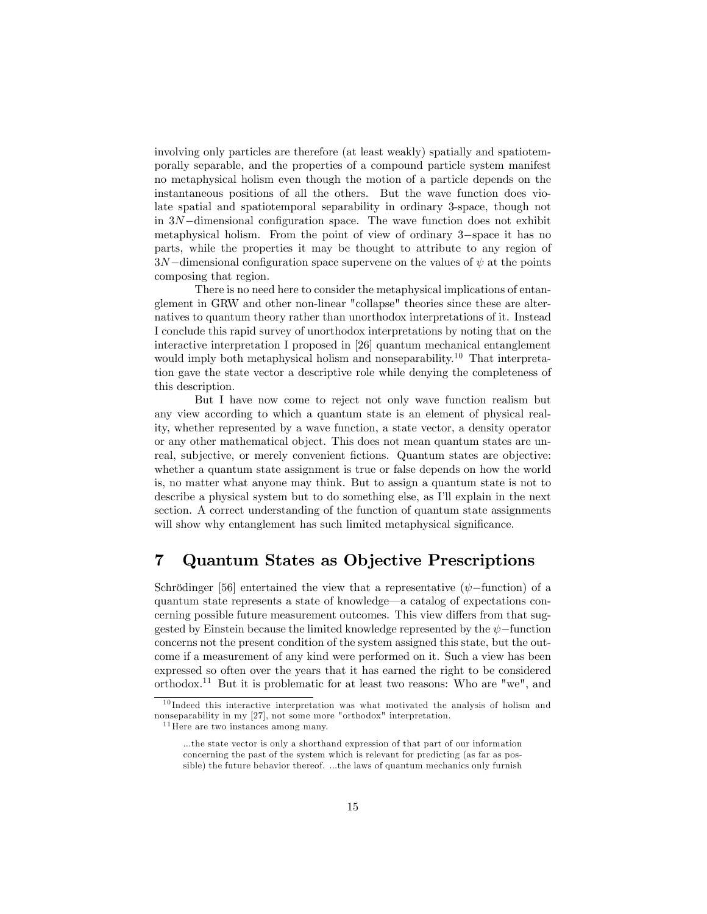involving only particles are therefore (at least weakly) spatially and spatiotemporally separable, and the properties of a compound particle system manifest no metaphysical holism even though the motion of a particle depends on the instantaneous positions of all the others. But the wave function does violate spatial and spatiotemporal separability in ordinary 3-space, though not in  $3N$ -dimensional configuration space. The wave function does not exhibit metaphysical holism. From the point of view of ordinary 3-space it has no parts, while the properties it may be thought to attribute to any region of  $3N$ -dimensional configuration space supervene on the values of  $\psi$  at the points composing that region.

There is no need here to consider the metaphysical implications of entanglement in GRW and other non-linear "collapse" theories since these are alternatives to quantum theory rather than unorthodox interpretations of it. Instead I conclude this rapid survey of unorthodox interpretations by noting that on the interactive interpretation I proposed in [26] quantum mechanical entanglement would imply both metaphysical holism and nonseparability.<sup>10</sup> That interpretation gave the state vector a descriptive role while denying the completeness of this description.

But I have now come to reject not only wave function realism but any view according to which a quantum state is an element of physical reality, whether represented by a wave function, a state vector, a density operator or any other mathematical object. This does not mean quantum states are unreal, subjective, or merely convenient fictions. Quantum states are objective: whether a quantum state assignment is true or false depends on how the world is, no matter what anyone may think. But to assign a quantum state is not to describe a physical system but to do something else, as I'll explain in the next section. A correct understanding of the function of quantum state assignments will show why entanglement has such limited metaphysical significance.

### 7 Quantum States as Objective Prescriptions

Schrödinger [56] entertained the view that a representative ( $\psi$ -function) of a quantum state represents a state of knowledge—a catalog of expectations concerning possible future measurement outcomes. This view differs from that suggested by Einstein because the limited knowledge represented by the  $\psi$ -function concerns not the present condition of the system assigned this state, but the outcome if a measurement of any kind were performed on it. Such a view has been expressed so often over the years that it has earned the right to be considered orthodox.<sup>11</sup> But it is problematic for at least two reasons: Who are "we", and

<sup>10</sup> Indeed this interactive interpretation was what motivated the analysis of holism and nonseparability in my [27], not some more "orthodox" interpretation.

<sup>&</sup>lt;sup>11</sup> Here are two instances among many.

<sup>...</sup>the state vector is only a shorthand expression of that part of our information concerning the past of the system which is relevant for predicting (as far as possible) the future behavior thereof. ...the laws of quantum mechanics only furnish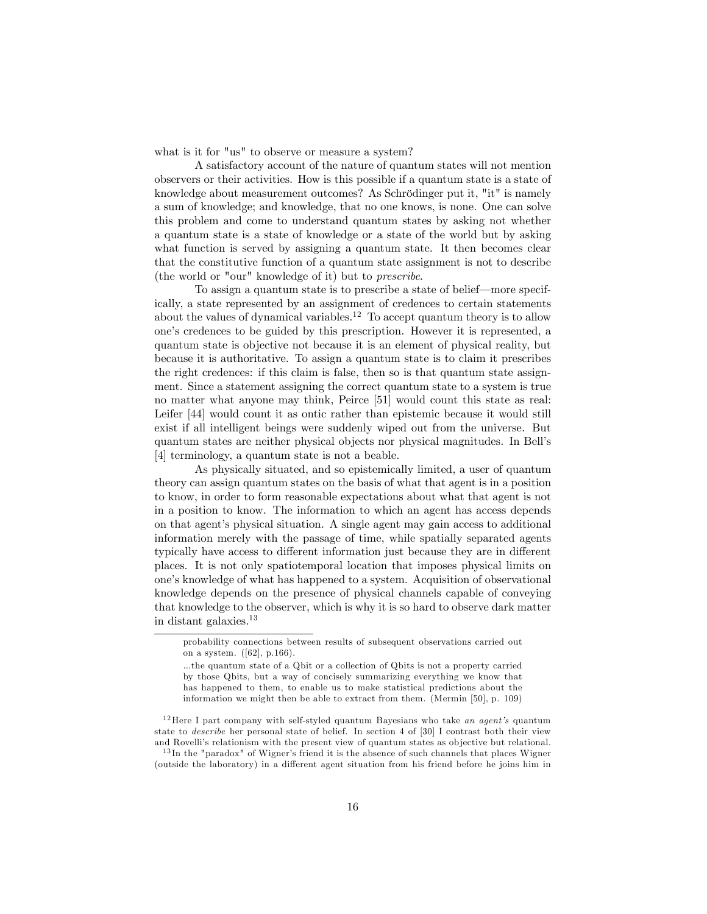what is it for "us" to observe or measure a system?

A satisfactory account of the nature of quantum states will not mention observers or their activities. How is this possible if a quantum state is a state of knowledge about measurement outcomes? As Schrödinger put it, "it" is namely a sum of knowledge; and knowledge, that no one knows, is none. One can solve this problem and come to understand quantum states by asking not whether a quantum state is a state of knowledge or a state of the world but by asking what function is served by assigning a quantum state. It then becomes clear that the constitutive function of a quantum state assignment is not to describe (the world or "our" knowledge of it) but to prescribe.

To assign a quantum state is to prescribe a state of belief—more specifically, a state represented by an assignment of credences to certain statements about the values of dynamical variables.<sup>12</sup> To accept quantum theory is to allow one's credences to be guided by this prescription. However it is represented, a quantum state is objective not because it is an element of physical reality, but because it is authoritative. To assign a quantum state is to claim it prescribes the right credences: if this claim is false, then so is that quantum state assignment. Since a statement assigning the correct quantum state to a system is true no matter what anyone may think, Peirce [51] would count this state as real: Leifer [44] would count it as ontic rather than epistemic because it would still exist if all intelligent beings were suddenly wiped out from the universe. But quantum states are neither physical objects nor physical magnitudes. In Bellís [4] terminology, a quantum state is not a beable.

As physically situated, and so epistemically limited, a user of quantum theory can assign quantum states on the basis of what that agent is in a position to know, in order to form reasonable expectations about what that agent is not in a position to know. The information to which an agent has access depends on that agent's physical situation. A single agent may gain access to additional information merely with the passage of time, while spatially separated agents typically have access to different information just because they are in different places. It is not only spatiotemporal location that imposes physical limits on oneís knowledge of what has happened to a system. Acquisition of observational knowledge depends on the presence of physical channels capable of conveying that knowledge to the observer, which is why it is so hard to observe dark matter in distant galaxies.<sup>13</sup>

probability connections between results of subsequent observations carried out on a system. ([62], p.166).

<sup>...</sup>the quantum state of a Qbit or a collection of Qbits is not a property carried by those Qbits, but a way of concisely summarizing everything we know that has happened to them, to enable us to make statistical predictions about the information we might then be able to extract from them. (Mermin [50], p. 109)

 $12$  Here I part company with self-styled quantum Bayesians who take an agent's quantum state to describe her personal state of belief. In section 4 of [30] I contrast both their view and Rovelli's relationism with the present view of quantum states as objective but relational.

<sup>&</sup>lt;sup>13</sup>In the "paradox" of Wigner's friend it is the absence of such channels that places Wigner (outside the laboratory) in a different agent situation from his friend before he joins him in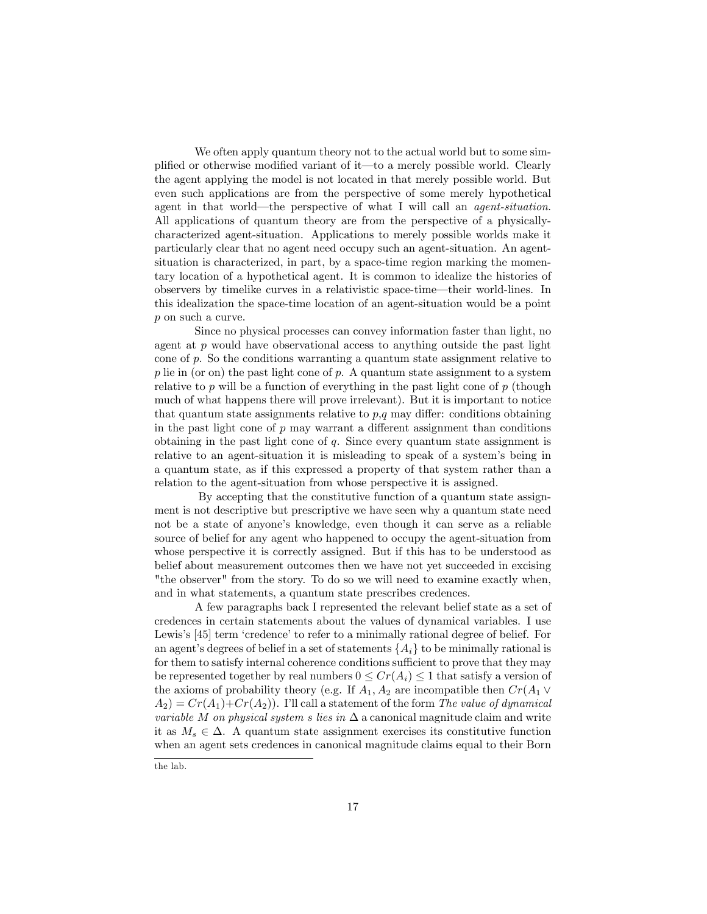We often apply quantum theory not to the actual world but to some simplified or otherwise modified variant of it—to a merely possible world. Clearly the agent applying the model is not located in that merely possible world. But even such applications are from the perspective of some merely hypothetical agent in that world—the perspective of what I will call an *agent-situation*. All applications of quantum theory are from the perspective of a physicallycharacterized agent-situation. Applications to merely possible worlds make it particularly clear that no agent need occupy such an agent-situation. An agentsituation is characterized, in part, by a space-time region marking the momentary location of a hypothetical agent. It is common to idealize the histories of observers by timelike curves in a relativistic space-time—their world-lines. In this idealization the space-time location of an agent-situation would be a point p on such a curve.

Since no physical processes can convey information faster than light, no agent at  $p$  would have observational access to anything outside the past light cone of p. So the conditions warranting a quantum state assignment relative to  $p$  lie in (or on) the past light cone of  $p$ . A quantum state assignment to a system relative to  $p$  will be a function of everything in the past light cone of  $p$  (though much of what happens there will prove irrelevant). But it is important to notice that quantum state assignments relative to  $p,q$  may differ: conditions obtaining in the past light cone of  $p$  may warrant a different assignment than conditions obtaining in the past light cone of  $q$ . Since every quantum state assignment is relative to an agent-situation it is misleading to speak of a system's being in a quantum state, as if this expressed a property of that system rather than a relation to the agent-situation from whose perspective it is assigned.

By accepting that the constitutive function of a quantum state assignment is not descriptive but prescriptive we have seen why a quantum state need not be a state of anyone's knowledge, even though it can serve as a reliable source of belief for any agent who happened to occupy the agent-situation from whose perspective it is correctly assigned. But if this has to be understood as belief about measurement outcomes then we have not yet succeeded in excising "the observer" from the story. To do so we will need to examine exactly when, and in what statements, a quantum state prescribes credences.

A few paragraphs back I represented the relevant belief state as a set of credences in certain statements about the values of dynamical variables. I use Lewis's [45] term 'credence' to refer to a minimally rational degree of belief. For an agent's degrees of belief in a set of statements  $\{A_i\}$  to be minimally rational is for them to satisfy internal coherence conditions sufficient to prove that they may be represented together by real numbers  $0 \leq Cr(A_i) \leq 1$  that satisfy a version of the axioms of probability theory (e.g. If  $A_1, A_2$  are incompatible then  $Cr(A_1 \vee$  $A_2$  =  $Cr(A_1)+Cr(A_2)$ . I'll call a statement of the form The value of dynamical variable M on physical system s lies in  $\Delta$  a canonical magnitude claim and write it as  $M_s \in \Delta$ . A quantum state assignment exercises its constitutive function when an agent sets credences in canonical magnitude claims equal to their Born

the lab.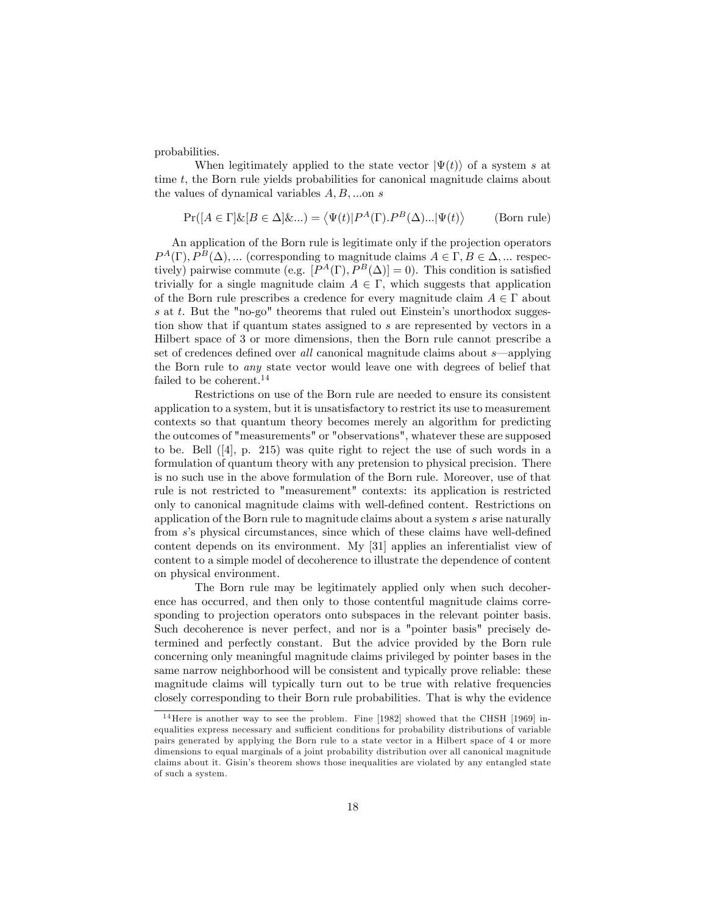probabilities.

When legitimately applied to the state vector  $|\Psi(t)\rangle$  of a system s at time t, the Born rule yields probabilities for canonical magnitude claims about the values of dynamical variables  $A, B, \ldots$  on s

$$
Pr([A \in \Gamma] \& [B \in \Delta] \&...)= \langle \Psi(t)|P^A(\Gamma).P^B(\Delta)...|\Psi(t)\rangle
$$
 (Born rule)

An application of the Born rule is legitimate only if the projection operators  $P^A(\Gamma), P^B(\Delta), \dots$  (corresponding to magnitude claims  $A \in \Gamma, B \in \Delta, \dots$  respectively) pairwise commute (e.g.  $[P^{A}(\Gamma), P^{B}(\Delta)] = 0$ ). This condition is satisfied trivially for a single magnitude claim  $A \in \Gamma$ , which suggests that application of the Born rule prescribes a credence for every magnitude claim  $A \in \Gamma$  about s at t. But the "no-go" theorems that ruled out Einstein's unorthodox suggestion show that if quantum states assigned to s are represented by vectors in a Hilbert space of 3 or more dimensions, then the Born rule cannot prescribe a set of credences defined over all canonical magnitude claims about  $s$ —applying the Born rule to any state vector would leave one with degrees of belief that failed to be coherent.<sup>14</sup>

Restrictions on use of the Born rule are needed to ensure its consistent application to a system, but it is unsatisfactory to restrict its use to measurement contexts so that quantum theory becomes merely an algorithm for predicting the outcomes of "measurements" or "observations", whatever these are supposed to be. Bell ([4], p. 215) was quite right to reject the use of such words in a formulation of quantum theory with any pretension to physical precision. There is no such use in the above formulation of the Born rule. Moreover, use of that rule is not restricted to "measurement" contexts: its application is restricted only to canonical magnitude claims with well-deÖned content. Restrictions on application of the Born rule to magnitude claims about a system s arise naturally from s's physical circumstances, since which of these claims have well-defined content depends on its environment. My [31] applies an inferentialist view of content to a simple model of decoherence to illustrate the dependence of content on physical environment.

The Born rule may be legitimately applied only when such decoherence has occurred, and then only to those contentful magnitude claims corresponding to projection operators onto subspaces in the relevant pointer basis. Such decoherence is never perfect, and nor is a "pointer basis" precisely determined and perfectly constant. But the advice provided by the Born rule concerning only meaningful magnitude claims privileged by pointer bases in the same narrow neighborhood will be consistent and typically prove reliable: these magnitude claims will typically turn out to be true with relative frequencies closely corresponding to their Born rule probabilities. That is why the evidence

<sup>14</sup>Here is another way to see the problem. Fine [1982] showed that the CHSH [1969] inequalities express necessary and sufficient conditions for probability distributions of variable pairs generated by applying the Born rule to a state vector in a Hilbert space of 4 or more dimensions to equal marginals of a joint probability distribution over all canonical magnitude claims about it. Gisinís theorem shows those inequalities are violated by any entangled state of such a system.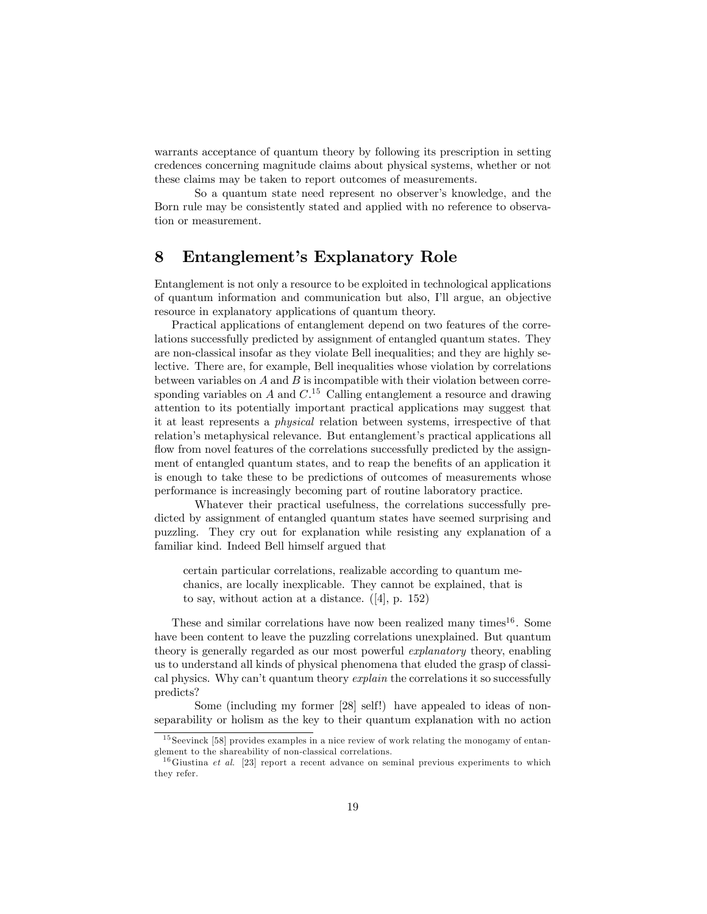warrants acceptance of quantum theory by following its prescription in setting credences concerning magnitude claims about physical systems, whether or not these claims may be taken to report outcomes of measurements.

So a quantum state need represent no observer's knowledge, and the Born rule may be consistently stated and applied with no reference to observation or measurement.

#### 8 Entanglement's Explanatory Role

Entanglement is not only a resource to be exploited in technological applications of quantum information and communication but also, Iíll argue, an objective resource in explanatory applications of quantum theory.

Practical applications of entanglement depend on two features of the correlations successfully predicted by assignment of entangled quantum states. They are non-classical insofar as they violate Bell inequalities; and they are highly selective. There are, for example, Bell inequalities whose violation by correlations between variables on  $A$  and  $B$  is incompatible with their violation between corresponding variables on  $A$  and  $C^{15}$  Calling entanglement a resource and drawing attention to its potentially important practical applications may suggest that it at least represents a physical relation between systems, irrespective of that relation's metaphysical relevance. But entanglement's practical applications all flow from novel features of the correlations successfully predicted by the assignment of entangled quantum states, and to reap the benefits of an application it is enough to take these to be predictions of outcomes of measurements whose performance is increasingly becoming part of routine laboratory practice.

Whatever their practical usefulness, the correlations successfully predicted by assignment of entangled quantum states have seemed surprising and puzzling. They cry out for explanation while resisting any explanation of a familiar kind. Indeed Bell himself argued that

certain particular correlations, realizable according to quantum mechanics, are locally inexplicable. They cannot be explained, that is to say, without action at a distance. ([4], p. 152)

These and similar correlations have now been realized many times<sup>16</sup>. Some have been content to leave the puzzling correlations unexplained. But quantum theory is generally regarded as our most powerful explanatory theory, enabling us to understand all kinds of physical phenomena that eluded the grasp of classical physics. Why can't quantum theory *explain* the correlations it so successfully predicts?

Some (including my former [28] self!) have appealed to ideas of nonseparability or holism as the key to their quantum explanation with no action

<sup>15</sup> Seevinck [58] provides examples in a nice review of work relating the monogamy of entanglement to the shareability of non-classical correlations.

<sup>&</sup>lt;sup>16</sup>Giustina *et al.* [23] report a recent advance on seminal previous experiments to which they refer.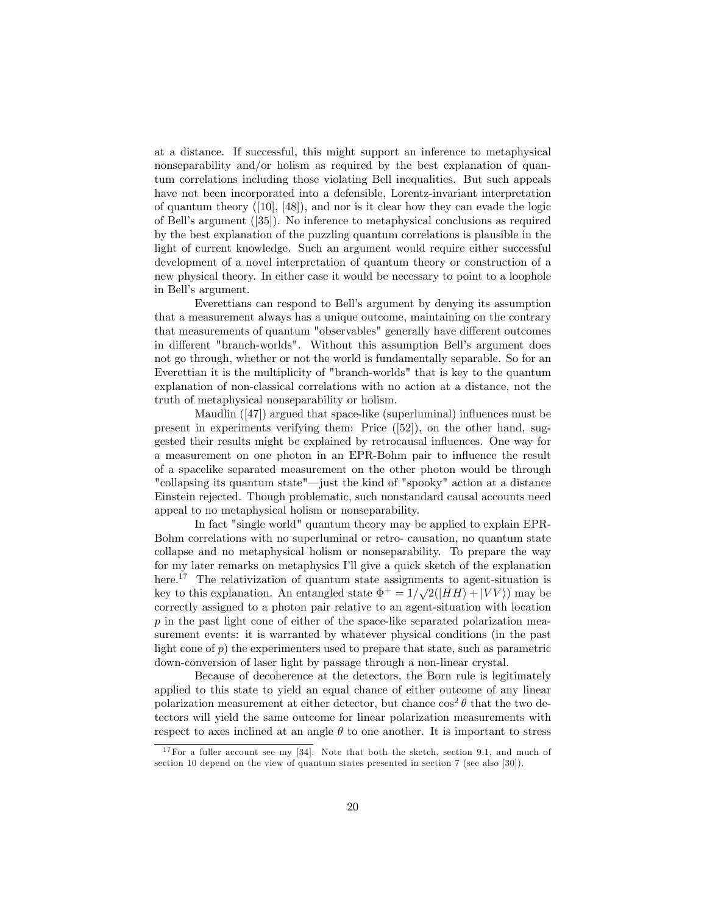at a distance. If successful, this might support an inference to metaphysical nonseparability and/or holism as required by the best explanation of quantum correlations including those violating Bell inequalities. But such appeals have not been incorporated into a defensible, Lorentz-invariant interpretation of quantum theory  $([10], [48])$ , and nor is it clear how they can evade the logic of Bell's argument ([35]). No inference to metaphysical conclusions as required by the best explanation of the puzzling quantum correlations is plausible in the light of current knowledge. Such an argument would require either successful development of a novel interpretation of quantum theory or construction of a new physical theory. In either case it would be necessary to point to a loophole in Bell's argument.

Everettians can respond to Bellís argument by denying its assumption that a measurement always has a unique outcome, maintaining on the contrary that measurements of quantum "observables" generally have different outcomes in different "branch-worlds". Without this assumption Bell's argument does not go through, whether or not the world is fundamentally separable. So for an Everettian it is the multiplicity of "branch-worlds" that is key to the quantum explanation of non-classical correlations with no action at a distance, not the truth of metaphysical nonseparability or holism.

Maudlin  $(47)$  argued that space-like (superluminal) influences must be present in experiments verifying them: Price ([52]), on the other hand, suggested their results might be explained by retrocausal ináuences. One way for a measurement on one photon in an EPR-Bohm pair to influence the result of a spacelike separated measurement on the other photon would be through "collapsing its quantum state"—just the kind of "spooky" action at a distance Einstein rejected. Though problematic, such nonstandard causal accounts need appeal to no metaphysical holism or nonseparability.

In fact "single world" quantum theory may be applied to explain EPR-Bohm correlations with no superluminal or retro- causation, no quantum state collapse and no metaphysical holism or nonseparability. To prepare the way for my later remarks on metaphysics I'll give a quick sketch of the explanation here.<sup>17</sup> The relativization of quantum state assignments to agent-situation is key to this explanation. An entangled state  $\Phi^+ = 1/\sqrt{2(|HH\rangle + |VV\rangle})$  may be correctly assigned to a photon pair relative to an agent-situation with location  $p$  in the past light cone of either of the space-like separated polarization measurement events: it is warranted by whatever physical conditions (in the past light cone of  $p$ ) the experimenters used to prepare that state, such as parametric down-conversion of laser light by passage through a non-linear crystal.

Because of decoherence at the detectors, the Born rule is legitimately applied to this state to yield an equal chance of either outcome of any linear polarization measurement at either detector, but chance  $\cos^2 \theta$  that the two detectors will yield the same outcome for linear polarization measurements with respect to axes inclined at an angle  $\theta$  to one another. It is important to stress

 $17$  For a fuller account see my [34]. Note that both the sketch, section 9.1, and much of section 10 depend on the view of quantum states presented in section 7 (see also [30]).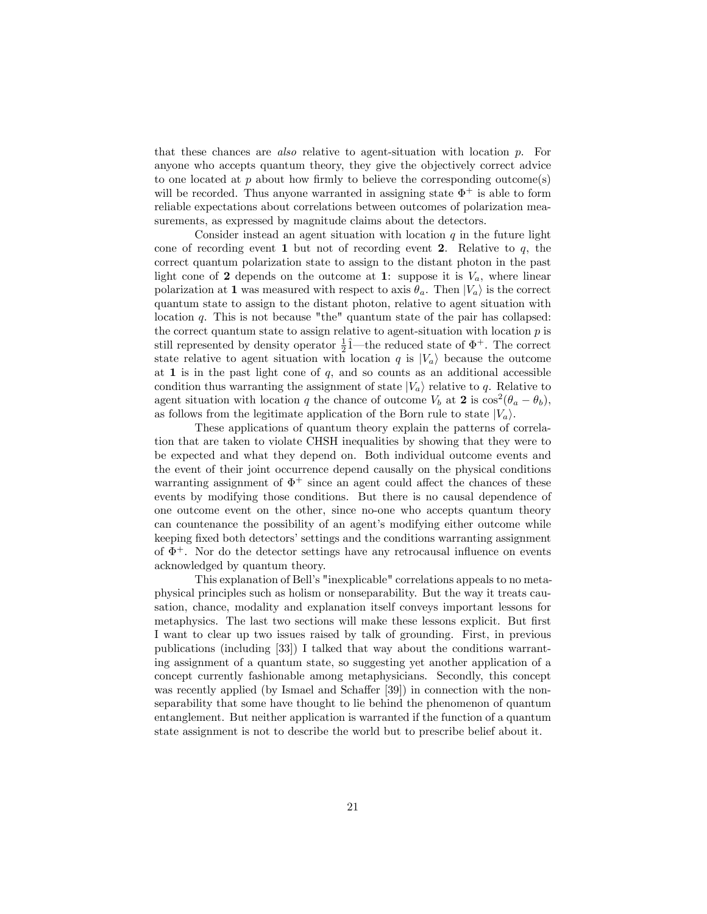that these chances are also relative to agent-situation with location p. For anyone who accepts quantum theory, they give the objectively correct advice to one located at p about how firmly to believe the corresponding outcome(s) will be recorded. Thus anyone warranted in assigning state  $\Phi^+$  is able to form reliable expectations about correlations between outcomes of polarization measurements, as expressed by magnitude claims about the detectors.

Consider instead an agent situation with location  $q$  in the future light cone of recording event 1 but not of recording event 2. Relative to  $q$ , the correct quantum polarization state to assign to the distant photon in the past light cone of 2 depends on the outcome at 1: suppose it is  $V_a$ , where linear polarization at 1 was measured with respect to axis  $\theta_a$ . Then  $|V_a\rangle$  is the correct quantum state to assign to the distant photon, relative to agent situation with location q. This is not because "the" quantum state of the pair has collapsed: the correct quantum state to assign relative to agent-situation with location  $p$  is still represented by density operator  $\frac{1}{2}\hat{1}$ —the reduced state of  $\Phi^+$ . The correct state relative to agent situation with location q is  $|V_a\rangle$  because the outcome at  $1$  is in the past light cone of  $q$ , and so counts as an additional accessible condition thus warranting the assignment of state  $|V_a\rangle$  relative to q. Relative to agent situation with location q the chance of outcome  $V_b$  at 2 is  $\cos^2(\theta_a - \theta_b)$ , as follows from the legitimate application of the Born rule to state  $|V_a\rangle$ .

These applications of quantum theory explain the patterns of correlation that are taken to violate CHSH inequalities by showing that they were to be expected and what they depend on. Both individual outcome events and the event of their joint occurrence depend causally on the physical conditions warranting assignment of  $\Phi^+$  since an agent could affect the chances of these events by modifying those conditions. But there is no causal dependence of one outcome event on the other, since no-one who accepts quantum theory can countenance the possibility of an agent's modifying either outcome while keeping fixed both detectors' settings and the conditions warranting assignment of  $\Phi^+$ . Nor do the detector settings have any retrocausal influence on events acknowledged by quantum theory.

This explanation of Bell's "inexplicable" correlations appeals to no metaphysical principles such as holism or nonseparability. But the way it treats causation, chance, modality and explanation itself conveys important lessons for metaphysics. The last two sections will make these lessons explicit. But first I want to clear up two issues raised by talk of grounding. First, in previous publications (including [33]) I talked that way about the conditions warranting assignment of a quantum state, so suggesting yet another application of a concept currently fashionable among metaphysicians. Secondly, this concept was recently applied (by Ismael and Schaffer [39]) in connection with the nonseparability that some have thought to lie behind the phenomenon of quantum entanglement. But neither application is warranted if the function of a quantum state assignment is not to describe the world but to prescribe belief about it.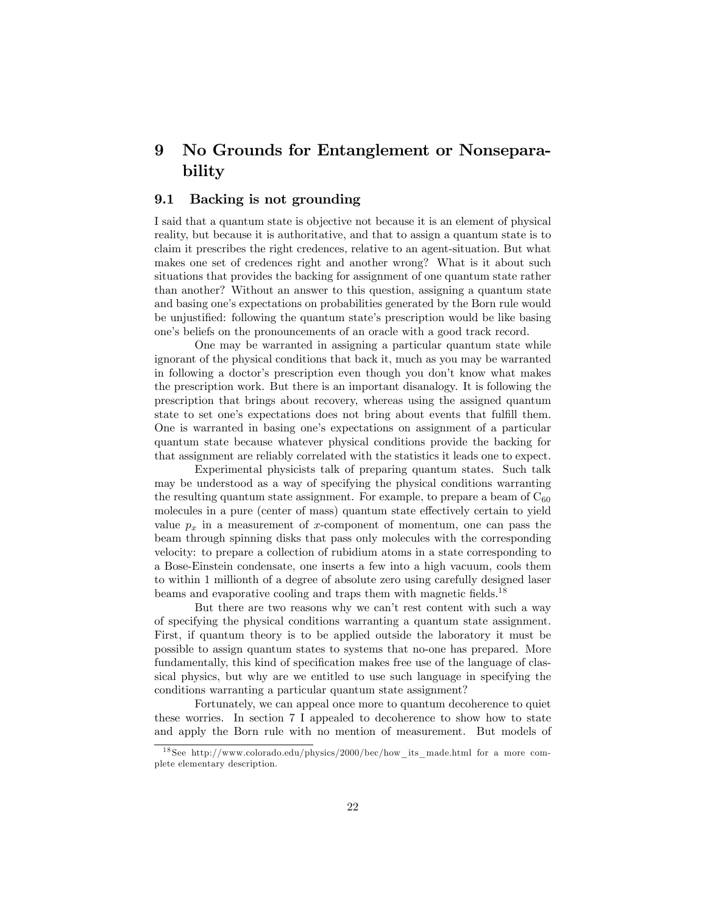# 9 No Grounds for Entanglement or Nonseparability

#### 9.1 Backing is not grounding

I said that a quantum state is objective not because it is an element of physical reality, but because it is authoritative, and that to assign a quantum state is to claim it prescribes the right credences, relative to an agent-situation. But what makes one set of credences right and another wrong? What is it about such situations that provides the backing for assignment of one quantum state rather than another? Without an answer to this question, assigning a quantum state and basing one's expectations on probabilities generated by the Born rule would be unjustified: following the quantum state's prescription would be like basing oneís beliefs on the pronouncements of an oracle with a good track record.

One may be warranted in assigning a particular quantum state while ignorant of the physical conditions that back it, much as you may be warranted in following a doctor's prescription even though you don't know what makes the prescription work. But there is an important disanalogy. It is following the prescription that brings about recovery, whereas using the assigned quantum state to set one's expectations does not bring about events that fulfill them. One is warranted in basing one's expectations on assignment of a particular quantum state because whatever physical conditions provide the backing for that assignment are reliably correlated with the statistics it leads one to expect.

Experimental physicists talk of preparing quantum states. Such talk may be understood as a way of specifying the physical conditions warranting the resulting quantum state assignment. For example, to prepare a beam of  $C_{60}$ molecules in a pure (center of mass) quantum state effectively certain to yield value  $p_x$  in a measurement of x-component of momentum, one can pass the beam through spinning disks that pass only molecules with the corresponding velocity: to prepare a collection of rubidium atoms in a state corresponding to a Bose-Einstein condensate, one inserts a few into a high vacuum, cools them to within 1 millionth of a degree of absolute zero using carefully designed laser beams and evaporative cooling and traps them with magnetic fields.<sup>18</sup>

But there are two reasons why we can't rest content with such a way of specifying the physical conditions warranting a quantum state assignment. First, if quantum theory is to be applied outside the laboratory it must be possible to assign quantum states to systems that no-one has prepared. More fundamentally, this kind of specification makes free use of the language of classical physics, but why are we entitled to use such language in specifying the conditions warranting a particular quantum state assignment?

Fortunately, we can appeal once more to quantum decoherence to quiet these worries. In section 7 I appealed to decoherence to show how to state and apply the Born rule with no mention of measurement. But models of

<sup>18</sup> See http://www.colorado.edu/physics/2000/bec/how\_its\_made.html for a more complete elementary description.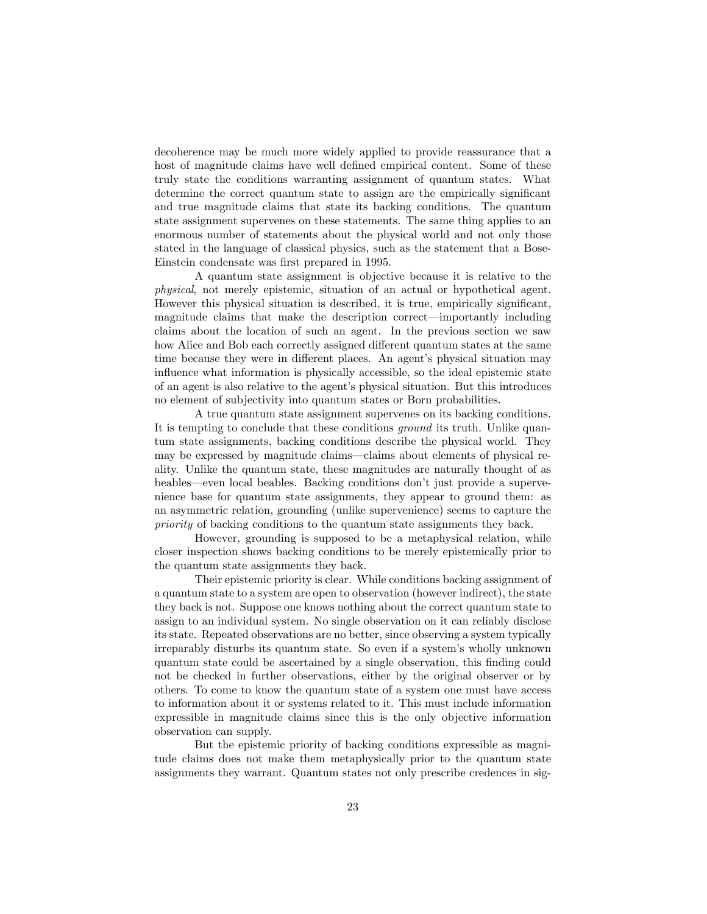decoherence may be much more widely applied to provide reassurance that a host of magnitude claims have well defined empirical content. Some of these truly state the conditions warranting assignment of quantum states. What determine the correct quantum state to assign are the empirically significant and true magnitude claims that state its backing conditions. The quantum state assignment supervenes on these statements. The same thing applies to an enormous number of statements about the physical world and not only those stated in the language of classical physics, such as the statement that a Bose-Einstein condensate was first prepared in 1995.

A quantum state assignment is objective because it is relative to the physical, not merely epistemic, situation of an actual or hypothetical agent. However this physical situation is described, it is true, empirically significant, magnitude claims that make the description correct—importantly including claims about the location of such an agent. In the previous section we saw how Alice and Bob each correctly assigned different quantum states at the same time because they were in different places. An agent's physical situation may influence what information is physically accessible, so the ideal epistemic state of an agent is also relative to the agentís physical situation. But this introduces no element of subjectivity into quantum states or Born probabilities.

A true quantum state assignment supervenes on its backing conditions. It is tempting to conclude that these conditions *ground* its truth. Unlike quantum state assignments, backing conditions describe the physical world. They may be expressed by magnitude claims—claims about elements of physical reality. Unlike the quantum state, these magnitudes are naturally thought of as beables—even local beables. Backing conditions don't just provide a supervenience base for quantum state assignments, they appear to ground them: as an asymmetric relation, grounding (unlike supervenience) seems to capture the priority of backing conditions to the quantum state assignments they back.

However, grounding is supposed to be a metaphysical relation, while closer inspection shows backing conditions to be merely epistemically prior to the quantum state assignments they back.

Their epistemic priority is clear. While conditions backing assignment of a quantum state to a system are open to observation (however indirect), the state they back is not. Suppose one knows nothing about the correct quantum state to assign to an individual system. No single observation on it can reliably disclose its state. Repeated observations are no better, since observing a system typically irreparably disturbs its quantum state. So even if a system's wholly unknown quantum state could be ascertained by a single observation, this finding could not be checked in further observations, either by the original observer or by others. To come to know the quantum state of a system one must have access to information about it or systems related to it. This must include information expressible in magnitude claims since this is the only objective information observation can supply.

But the epistemic priority of backing conditions expressible as magnitude claims does not make them metaphysically prior to the quantum state assignments they warrant. Quantum states not only prescribe credences in sig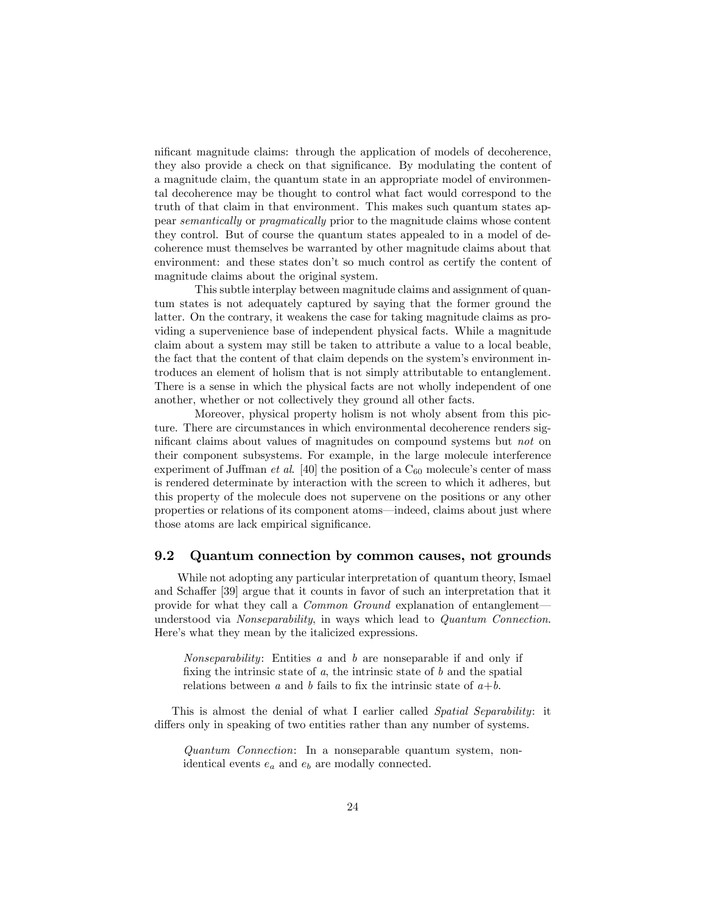nificant magnitude claims: through the application of models of decoherence, they also provide a check on that significance. By modulating the content of a magnitude claim, the quantum state in an appropriate model of environmental decoherence may be thought to control what fact would correspond to the truth of that claim in that environment. This makes such quantum states appear semantically or pragmatically prior to the magnitude claims whose content they control. But of course the quantum states appealed to in a model of decoherence must themselves be warranted by other magnitude claims about that environment: and these states don't so much control as certify the content of magnitude claims about the original system.

This subtle interplay between magnitude claims and assignment of quantum states is not adequately captured by saying that the former ground the latter. On the contrary, it weakens the case for taking magnitude claims as providing a supervenience base of independent physical facts. While a magnitude claim about a system may still be taken to attribute a value to a local beable, the fact that the content of that claim depends on the system's environment introduces an element of holism that is not simply attributable to entanglement. There is a sense in which the physical facts are not wholly independent of one another, whether or not collectively they ground all other facts.

Moreover, physical property holism is not wholy absent from this picture. There are circumstances in which environmental decoherence renders significant claims about values of magnitudes on compound systems but *not* on their component subsystems. For example, in the large molecule interference experiment of Juffman et al. [40] the position of a  $C_{60}$  molecule's center of mass is rendered determinate by interaction with the screen to which it adheres, but this property of the molecule does not supervene on the positions or any other properties or relations of its component atoms—indeed, claims about just where those atoms are lack empirical significance.

#### 9.2 Quantum connection by common causes, not grounds

While not adopting any particular interpretation of quantum theory, Ismael and Schaffer [39] argue that it counts in favor of such an interpretation that it provide for what they call a *Common Ground* explanation of entanglementunderstood via Nonseparability, in ways which lead to Quantum Connection. Here's what they mean by the italicized expressions.

Nonseparability: Entities a and b are nonseparable if and only if fixing the intrinsic state of  $a$ , the intrinsic state of  $b$  and the spatial relations between a and b fails to fix the intrinsic state of  $a+b$ .

This is almost the denial of what I earlier called Spatial Separability: it differs only in speaking of two entities rather than any number of systems.

Quantum Connection: In a nonseparable quantum system, nonidentical events  $e_a$  and  $e_b$  are modally connected.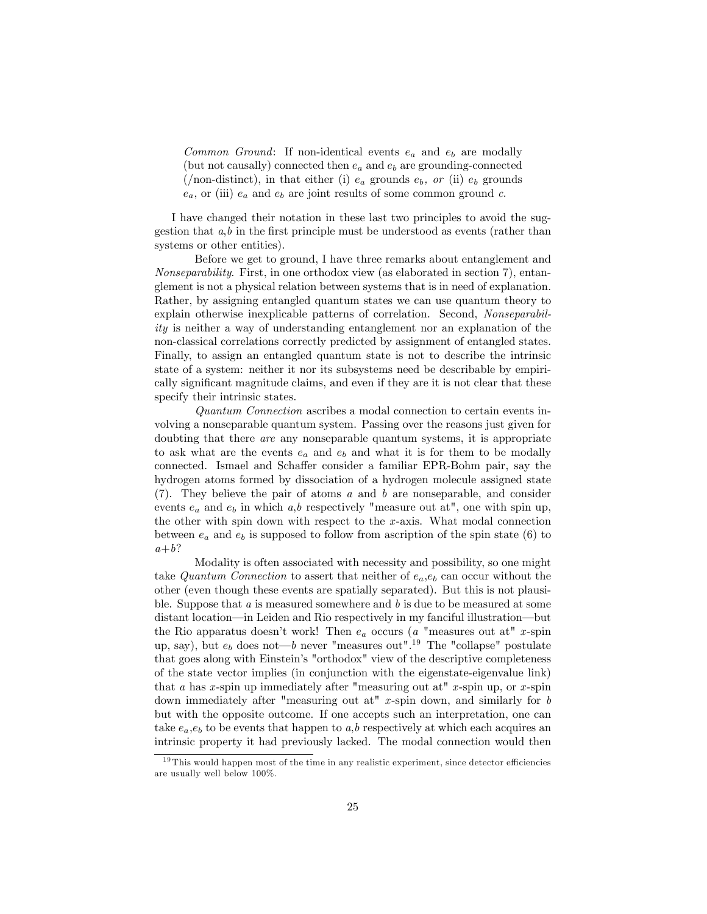Common Ground: If non-identical events  $e_a$  and  $e_b$  are modally (but not causally) connected then  $e_a$  and  $e_b$  are grounding-connected (/non-distinct), in that either (i)  $e_a$  grounds  $e_b$ , or (ii)  $e_b$  grounds  $e_a$ , or (iii)  $e_a$  and  $e_b$  are joint results of some common ground c.

I have changed their notation in these last two principles to avoid the suggestion that  $a, b$  in the first principle must be understood as events (rather than systems or other entities).

Before we get to ground, I have three remarks about entanglement and Nonseparability. First, in one orthodox view (as elaborated in section 7), entanglement is not a physical relation between systems that is in need of explanation. Rather, by assigning entangled quantum states we can use quantum theory to explain otherwise inexplicable patterns of correlation. Second, Nonseparability is neither a way of understanding entanglement nor an explanation of the non-classical correlations correctly predicted by assignment of entangled states. Finally, to assign an entangled quantum state is not to describe the intrinsic state of a system: neither it nor its subsystems need be describable by empirically significant magnitude claims, and even if they are it is not clear that these specify their intrinsic states.

Quantum Connection ascribes a modal connection to certain events involving a nonseparable quantum system. Passing over the reasons just given for doubting that there are any nonseparable quantum systems, it is appropriate to ask what are the events  $e_a$  and  $e_b$  and what it is for them to be modally connected. Ismael and Schaffer consider a familiar EPR-Bohm pair, say the hydrogen atoms formed by dissociation of a hydrogen molecule assigned state  $(7)$ . They believe the pair of atoms a and b are nonseparable, and consider events  $e_a$  and  $e_b$  in which  $a,b$  respectively "measure out at", one with spin up, the other with spin down with respect to the  $x$ -axis. What modal connection between  $e_a$  and  $e_b$  is supposed to follow from ascription of the spin state (6) to  $a+b$ ?

Modality is often associated with necessity and possibility, so one might take Quantum Connection to assert that neither of  $e_a,e_b$  can occur without the other (even though these events are spatially separated). But this is not plausible. Suppose that  $a$  is measured somewhere and  $b$  is due to be measured at some distant location—in Leiden and Rio respectively in my fanciful illustration—but the Rio apparatus doesn't work! Then  $e_a$  occurs (a "measures out at" x-spin up, say), but  $e_b$  does not— $b$  never "measures out".<sup>19</sup> The "collapse" postulate that goes along with Einstein's "orthodox" view of the descriptive completeness of the state vector implies (in conjunction with the eigenstate-eigenvalue link) that a has x-spin up immediately after "measuring out at" x-spin up, or x-spin down immediately after "measuring out at"  $x$ -spin down, and similarly for b but with the opposite outcome. If one accepts such an interpretation, one can take  $e_a, e_b$  to be events that happen to  $a, b$  respectively at which each acquires an intrinsic property it had previously lacked. The modal connection would then

 $19$  This would happen most of the time in any realistic experiment, since detector efficiencies are usually well below 100%.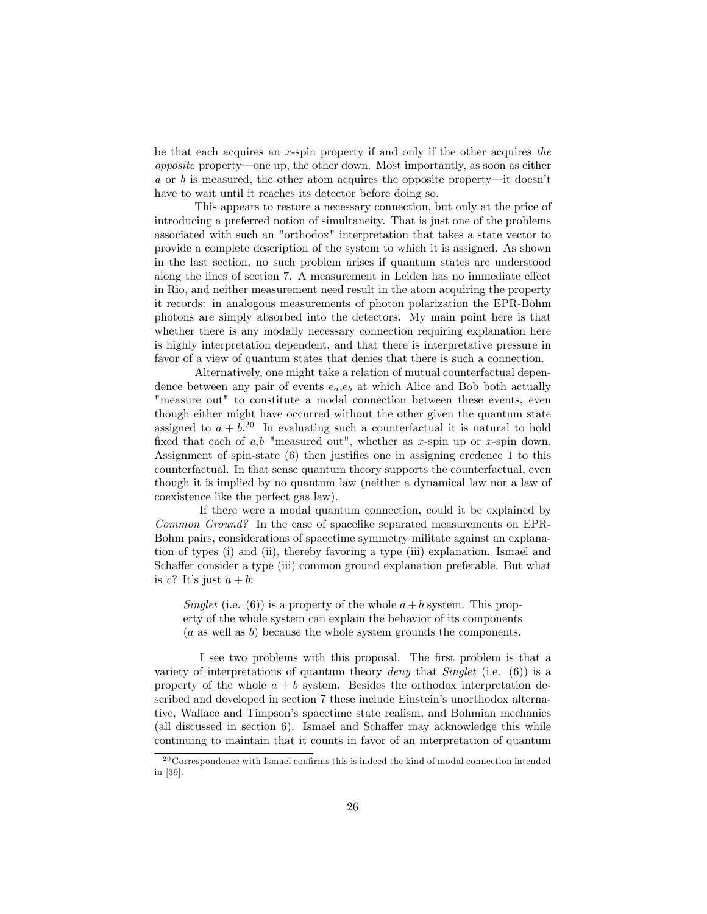be that each acquires an  $x$ -spin property if and only if the other acquires the opposite property—one up, the other down. Most importantly, as soon as either a or b is measured, the other atom acquires the opposite property—it doesn't have to wait until it reaches its detector before doing so.

This appears to restore a necessary connection, but only at the price of introducing a preferred notion of simultaneity. That is just one of the problems associated with such an "orthodox" interpretation that takes a state vector to provide a complete description of the system to which it is assigned. As shown in the last section, no such problem arises if quantum states are understood along the lines of section 7. A measurement in Leiden has no immediate effect in Rio, and neither measurement need result in the atom acquiring the property it records: in analogous measurements of photon polarization the EPR-Bohm photons are simply absorbed into the detectors. My main point here is that whether there is any modally necessary connection requiring explanation here is highly interpretation dependent, and that there is interpretative pressure in favor of a view of quantum states that denies that there is such a connection.

Alternatively, one might take a relation of mutual counterfactual dependence between any pair of events  $e_a, e_b$  at which Alice and Bob both actually "measure out" to constitute a modal connection between these events, even though either might have occurred without the other given the quantum state assigned to  $a + b$ <sup>20</sup>. In evaluating such a counterfactual it is natural to hold fixed that each of a,b "measured out", whether as x-spin up or x-spin down. Assignment of spin-state  $(6)$  then justifies one in assigning credence 1 to this counterfactual. In that sense quantum theory supports the counterfactual, even though it is implied by no quantum law (neither a dynamical law nor a law of coexistence like the perfect gas law).

If there were a modal quantum connection, could it be explained by Common Ground? In the case of spacelike separated measurements on EPR-Bohm pairs, considerations of spacetime symmetry militate against an explanation of types (i) and (ii), thereby favoring a type (iii) explanation. Ismael and Schaffer consider a type (iii) common ground explanation preferable. But what is c? It's just  $a + b$ :

Singlet (i.e. (6)) is a property of the whole  $a + b$  system. This property of the whole system can explain the behavior of its components (a as well as b) because the whole system grounds the components.

I see two problems with this proposal. The first problem is that a variety of interpretations of quantum theory deny that Singlet (i.e. (6)) is a property of the whole  $a + b$  system. Besides the orthodox interpretation described and developed in section 7 these include Einstein's unorthodox alternative, Wallace and Timpson's spacetime state realism, and Bohmian mechanics (all discussed in section 6). Ismael and Schaffer may acknowledge this while continuing to maintain that it counts in favor of an interpretation of quantum

 $20$  Correspondence with Ismael confirms this is indeed the kind of modal connection intended in [39].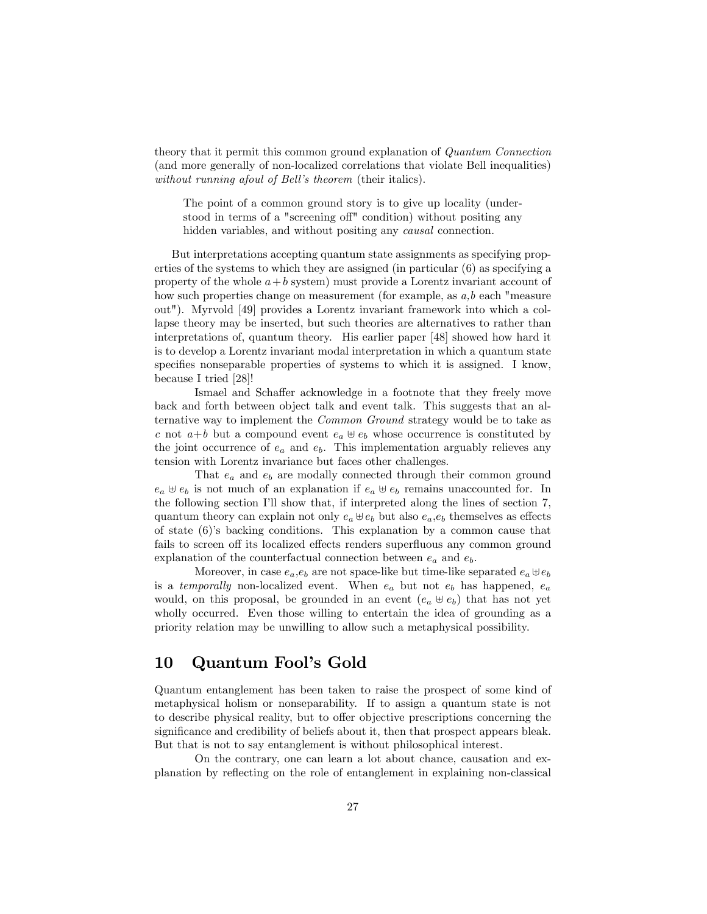theory that it permit this common ground explanation of Quantum Connection (and more generally of non-localized correlations that violate Bell inequalities) without running afoul of Bell's theorem (their italics).

The point of a common ground story is to give up locality (understood in terms of a "screening off" condition) without positing any hidden variables, and without positing any *causal* connection.

But interpretations accepting quantum state assignments as specifying properties of the systems to which they are assigned (in particular (6) as specifying a property of the whole  $a+b$  system) must provide a Lorentz invariant account of how such properties change on measurement (for example, as  $a, b$  each "measure out"). Myrvold [49] provides a Lorentz invariant framework into which a collapse theory may be inserted, but such theories are alternatives to rather than interpretations of, quantum theory. His earlier paper [48] showed how hard it is to develop a Lorentz invariant modal interpretation in which a quantum state specifies nonseparable properties of systems to which it is assigned. I know, because I tried [28]!

Ismael and Schaffer acknowledge in a footnote that they freely move back and forth between object talk and event talk. This suggests that an alternative way to implement the Common Ground strategy would be to take as c not  $a+b$  but a compound event  $e_a \oplus e_b$  whose occurrence is constituted by the joint occurrence of  $e_a$  and  $e_b$ . This implementation arguably relieves any tension with Lorentz invariance but faces other challenges.

That  $e_a$  and  $e_b$  are modally connected through their common ground  $e_a \oplus e_b$  is not much of an explanation if  $e_a \oplus e_b$  remains unaccounted for. In the following section I'll show that, if interpreted along the lines of section 7, quantum theory can explain not only  $e_a \oplus e_b$  but also  $e_a,e_b$  themselves as effects of state  $(6)$ 's backing conditions. This explanation by a common cause that fails to screen off its localized effects renders superfluous any common ground explanation of the counterfactual connection between  $e_a$  and  $e_b$ .

Moreover, in case  $e_a,e_b$  are not space-like but time-like separated  $e_a \oplus e_b$ is a temporally non-localized event. When  $e_a$  but not  $e_b$  has happened,  $e_a$ would, on this proposal, be grounded in an event  $(e_a \oplus e_b)$  that has not yet wholly occurred. Even those willing to entertain the idea of grounding as a priority relation may be unwilling to allow such a metaphysical possibility.

### 10 Quantum Fool's Gold

Quantum entanglement has been taken to raise the prospect of some kind of metaphysical holism or nonseparability. If to assign a quantum state is not to describe physical reality, but to offer objective prescriptions concerning the significance and credibility of beliefs about it, then that prospect appears bleak. But that is not to say entanglement is without philosophical interest.

On the contrary, one can learn a lot about chance, causation and explanation by reflecting on the role of entanglement in explaining non-classical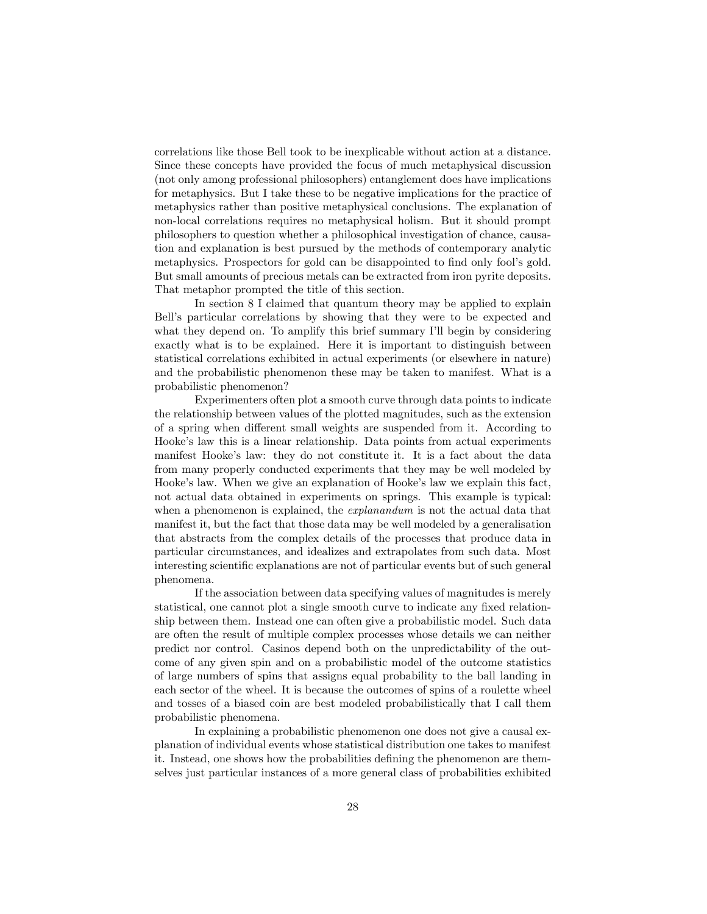correlations like those Bell took to be inexplicable without action at a distance. Since these concepts have provided the focus of much metaphysical discussion (not only among professional philosophers) entanglement does have implications for metaphysics. But I take these to be negative implications for the practice of metaphysics rather than positive metaphysical conclusions. The explanation of non-local correlations requires no metaphysical holism. But it should prompt philosophers to question whether a philosophical investigation of chance, causation and explanation is best pursued by the methods of contemporary analytic metaphysics. Prospectors for gold can be disappointed to find only fool's gold. But small amounts of precious metals can be extracted from iron pyrite deposits. That metaphor prompted the title of this section.

In section 8 I claimed that quantum theory may be applied to explain Bell's particular correlations by showing that they were to be expected and what they depend on. To amplify this brief summary I'll begin by considering exactly what is to be explained. Here it is important to distinguish between statistical correlations exhibited in actual experiments (or elsewhere in nature) and the probabilistic phenomenon these may be taken to manifest. What is a probabilistic phenomenon?

Experimenters often plot a smooth curve through data points to indicate the relationship between values of the plotted magnitudes, such as the extension of a spring when different small weights are suspended from it. According to Hooke's law this is a linear relationship. Data points from actual experiments manifest Hooke's law: they do not constitute it. It is a fact about the data from many properly conducted experiments that they may be well modeled by Hooke's law. When we give an explanation of Hooke's law we explain this fact, not actual data obtained in experiments on springs. This example is typical: when a phenomenon is explained, the *explanandum* is not the actual data that manifest it, but the fact that those data may be well modeled by a generalisation that abstracts from the complex details of the processes that produce data in particular circumstances, and idealizes and extrapolates from such data. Most interesting scientific explanations are not of particular events but of such general phenomena.

If the association between data specifying values of magnitudes is merely statistical, one cannot plot a single smooth curve to indicate any fixed relationship between them. Instead one can often give a probabilistic model. Such data are often the result of multiple complex processes whose details we can neither predict nor control. Casinos depend both on the unpredictability of the outcome of any given spin and on a probabilistic model of the outcome statistics of large numbers of spins that assigns equal probability to the ball landing in each sector of the wheel. It is because the outcomes of spins of a roulette wheel and tosses of a biased coin are best modeled probabilistically that I call them probabilistic phenomena.

In explaining a probabilistic phenomenon one does not give a causal explanation of individual events whose statistical distribution one takes to manifest it. Instead, one shows how the probabilities defining the phenomenon are themselves just particular instances of a more general class of probabilities exhibited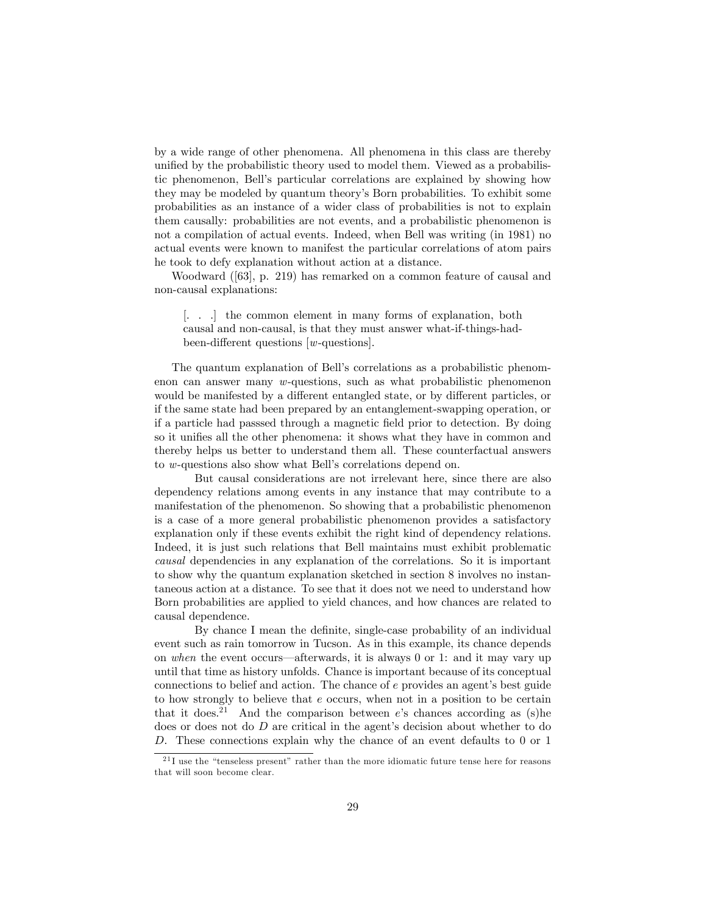by a wide range of other phenomena. All phenomena in this class are thereby unified by the probabilistic theory used to model them. Viewed as a probabilistic phenomenon, Bellís particular correlations are explained by showing how they may be modeled by quantum theoryís Born probabilities. To exhibit some probabilities as an instance of a wider class of probabilities is not to explain them causally: probabilities are not events, and a probabilistic phenomenon is not a compilation of actual events. Indeed, when Bell was writing (in 1981) no actual events were known to manifest the particular correlations of atom pairs he took to defy explanation without action at a distance.

Woodward ([63], p. 219) has remarked on a common feature of causal and non-causal explanations:

[. . .] the common element in many forms of explanation, both causal and non-causal, is that they must answer what-if-things-hadbeen-different questions  $[w$ -questions.

The quantum explanation of Bell's correlations as a probabilistic phenomenon can answer many w-questions, such as what probabilistic phenomenon would be manifested by a different entangled state, or by different particles, or if the same state had been prepared by an entanglement-swapping operation, or if a particle had passsed through a magnetic Öeld prior to detection. By doing so it unifies all the other phenomena: it shows what they have in common and thereby helps us better to understand them all. These counterfactual answers to w-questions also show what Bell's correlations depend on.

But causal considerations are not irrelevant here, since there are also dependency relations among events in any instance that may contribute to a manifestation of the phenomenon. So showing that a probabilistic phenomenon is a case of a more general probabilistic phenomenon provides a satisfactory explanation only if these events exhibit the right kind of dependency relations. Indeed, it is just such relations that Bell maintains must exhibit problematic causal dependencies in any explanation of the correlations. So it is important to show why the quantum explanation sketched in section 8 involves no instantaneous action at a distance. To see that it does not we need to understand how Born probabilities are applied to yield chances, and how chances are related to causal dependence.

By chance I mean the definite, single-case probability of an individual event such as rain tomorrow in Tucson. As in this example, its chance depends on when the event occurs—afterwards, it is always 0 or 1: and it may vary up until that time as history unfolds. Chance is important because of its conceptual connections to be lief and action. The chance of  $e$  provides an agent's best guide to how strongly to believe that e occurs, when not in a position to be certain that it does.<sup>21</sup> And the comparison between e's chances according as (s)he does or does not do  $D$  are critical in the agent's decision about whether to do D. These connections explain why the chance of an event defaults to 0 or 1

 $21$  I use the "tenseless present" rather than the more idiomatic future tense here for reasons that will soon become clear.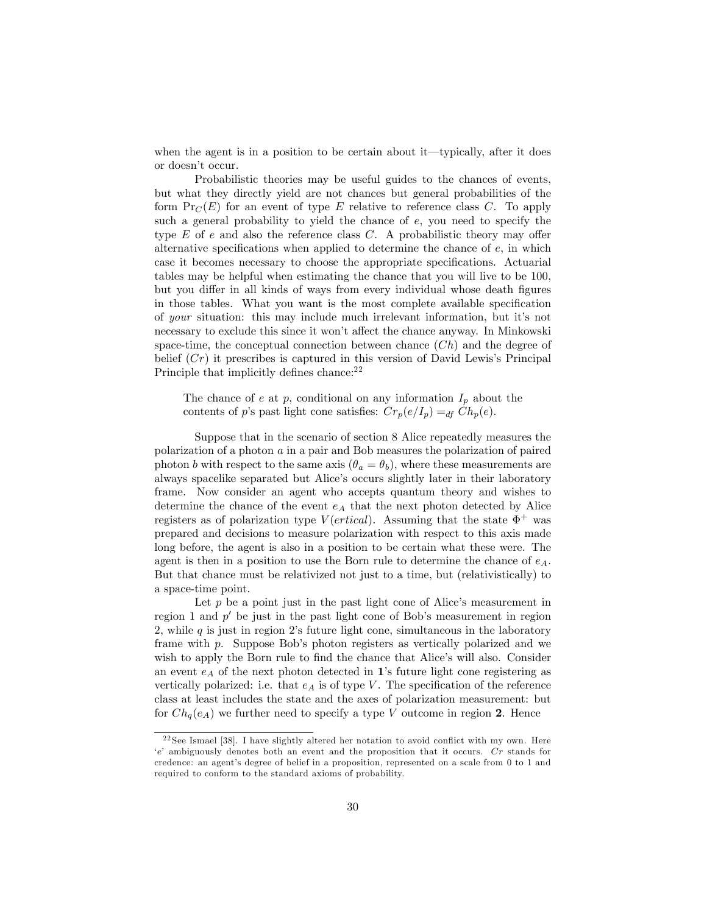when the agent is in a position to be certain about it—typically, after it does or doesn't occur.

Probabilistic theories may be useful guides to the chances of events, but what they directly yield are not chances but general probabilities of the form  $Pr_C(E)$  for an event of type E relative to reference class C. To apply such a general probability to yield the chance of  $e$ , you need to specify the type  $E$  of e and also the reference class  $C$ . A probabilistic theory may offer alternative specifications when applied to determine the chance of  $e$ , in which case it becomes necessary to choose the appropriate specifications. Actuarial tables may be helpful when estimating the chance that you will live to be 100, but you differ in all kinds of ways from every individual whose death figures in those tables. What you want is the most complete available specification of your situation: this may include much irrelevant information, but it's not necessary to exclude this since it won't affect the chance anyway. In Minkowski space-time, the conceptual connection between chance  $(Ch)$  and the degree of belief  $(Cr)$  it prescribes is captured in this version of David Lewis's Principal Principle that implicitly defines chance: $22$ 

The chance of e at p, conditional on any information  $I_p$  about the contents of p's past light cone satisfies:  $Cr_p(e/I_p) =_{df} Ch_p(e)$ .

Suppose that in the scenario of section 8 Alice repeatedly measures the polarization of a photon a in a pair and Bob measures the polarization of paired photon b with respect to the same axis  $(\theta_a = \theta_b)$ , where these measurements are always spacelike separated but Alice's occurs slightly later in their laboratory frame. Now consider an agent who accepts quantum theory and wishes to determine the chance of the event  $e_A$  that the next photon detected by Alice registers as of polarization type  $V(ertical)$ . Assuming that the state  $\Phi^+$  was prepared and decisions to measure polarization with respect to this axis made long before, the agent is also in a position to be certain what these were. The agent is then in a position to use the Born rule to determine the chance of  $e_A$ . But that chance must be relativized not just to a time, but (relativistically) to a space-time point.

Let  $p$  be a point just in the past light cone of Alice's measurement in region 1 and  $p'$  be just in the past light cone of Bob's measurement in region 2, while q is just in region 2's future light cone, simultaneous in the laboratory frame with  $p$ . Suppose Bob's photon registers as vertically polarized and we wish to apply the Born rule to find the chance that Alice's will also. Consider an event  $e_A$  of the next photon detected in 1's future light cone registering as vertically polarized: i.e. that  $e_A$  is of type V. The specification of the reference class at least includes the state and the axes of polarization measurement: but for  $Ch_q(e_A)$  we further need to specify a type V outcome in region 2. Hence

<sup>&</sup>lt;sup>22</sup> See Ismael [38]. I have slightly altered her notation to avoid conflict with my own. Here  $'e'$  ambiguously denotes both an event and the proposition that it occurs. Cr stands for credence: an agent's degree of belief in a proposition, represented on a scale from 0 to 1 and required to conform to the standard axioms of probability.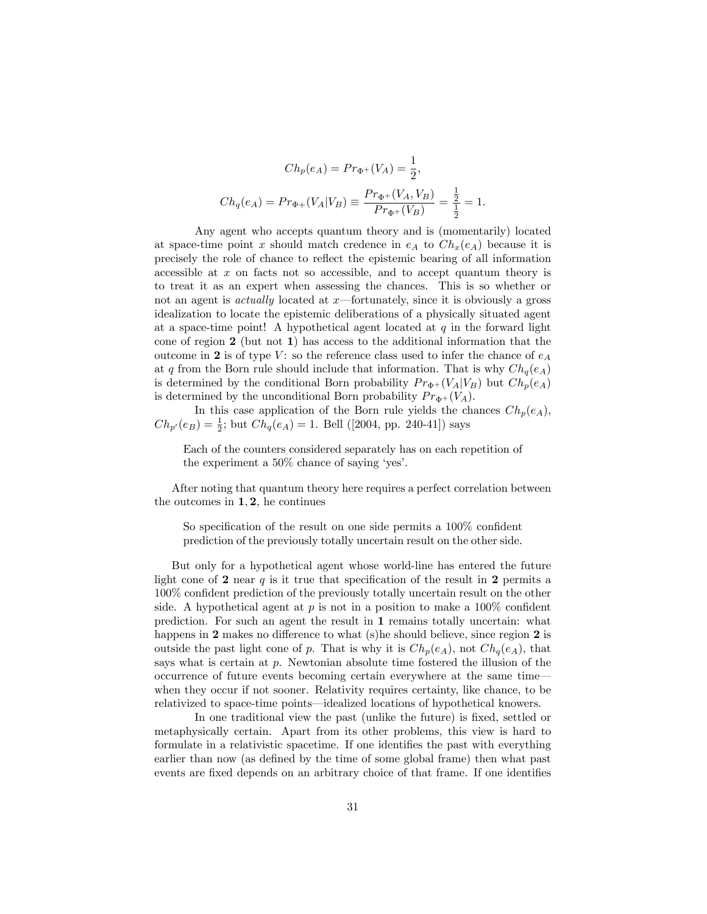$$
Ch_p(e_A) = Pr_{\Phi^+}(V_A) = \frac{1}{2},
$$
  
\n
$$
Ch_q(e_A) = Pr_{\Phi^+}(V_A|V_B) \equiv \frac{Pr_{\Phi^+}(V_A, V_B)}{Pr_{\Phi^+}(V_B)} = \frac{\frac{1}{2}}{\frac{1}{2}} = 1.
$$

Any agent who accepts quantum theory and is (momentarily) located at space-time point x should match credence in  $e_A$  to  $Ch_x(e_A)$  because it is precisely the role of chance to reflect the epistemic bearing of all information accessible at  $x$  on facts not so accessible, and to accept quantum theory is to treat it as an expert when assessing the chances. This is so whether or not an agent is *actually* located at  $x$ —fortunately, since it is obviously a gross idealization to locate the epistemic deliberations of a physically situated agent at a space-time point! A hypothetical agent located at  $q$  in the forward light cone of region 2 (but not 1) has access to the additional information that the outcome in 2 is of type V: so the reference class used to infer the chance of  $e_A$ at q from the Born rule should include that information. That is why  $Ch_q(e_A)$ is determined by the conditional Born probability  $Pr_{\Phi^+}(V_A|V_B)$  but  $Ch_p(e_A)$ is determined by the unconditional Born probability  $Pr_{\Phi^+}(V_A)$ .

In this case application of the Born rule yields the chances  $Ch_p(e_A)$ ,  $Ch_{p'}(e_B) = \frac{1}{2}$ ; but  $Ch_q(e_A) = 1$ . Bell ([2004, pp. 240-41]) says

Each of the counters considered separately has on each repetition of the experiment a  $50\%$  chance of saying 'yes'.

After noting that quantum theory here requires a perfect correlation between the outcomes in  $1, 2$ , he continues

So specification of the result on one side permits a  $100\%$  confident prediction of the previously totally uncertain result on the other side.

But only for a hypothetical agent whose world-line has entered the future light cone of 2 near q is it true that specification of the result in 2 permits a 100\% confident prediction of the previously totally uncertain result on the other side. A hypothetical agent at  $p$  is not in a position to make a 100% confident prediction. For such an agent the result in 1 remains totally uncertain: what happens in  $2$  makes no difference to what (s)he should believe, since region  $2$  is outside the past light cone of p. That is why it is  $Ch_p(e_A)$ , not  $Ch_q(e_A)$ , that says what is certain at  $p$ . Newtonian absolute time fostered the illusion of the occurrence of future events becoming certain everywhere at the same time when they occur if not sooner. Relativity requires certainty, like chance, to be relativized to space-time points—idealized locations of hypothetical knowers.

In one traditional view the past (unlike the future) is fixed, settled or metaphysically certain. Apart from its other problems, this view is hard to formulate in a relativistic spacetime. If one identifies the past with everything earlier than now (as defined by the time of some global frame) then what past events are fixed depends on an arbitrary choice of that frame. If one identifies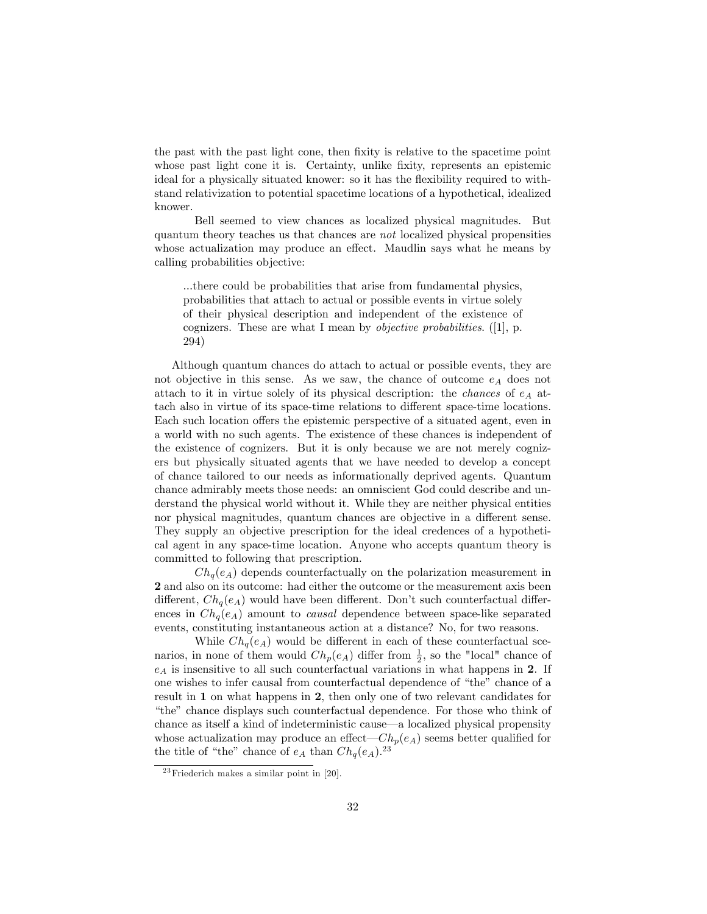the past with the past light cone, then Öxity is relative to the spacetime point whose past light cone it is. Certainty, unlike fixity, represents an epistemic ideal for a physically situated knower: so it has the flexibility required to withstand relativization to potential spacetime locations of a hypothetical, idealized knower.

Bell seemed to view chances as localized physical magnitudes. But quantum theory teaches us that chances are not localized physical propensities whose actualization may produce an effect. Maudlin says what he means by calling probabilities objective:

...there could be probabilities that arise from fundamental physics, probabilities that attach to actual or possible events in virtue solely of their physical description and independent of the existence of cognizers. These are what I mean by objective probabilities. ([1], p. 294)

Although quantum chances do attach to actual or possible events, they are not objective in this sense. As we saw, the chance of outcome  $e_A$  does not attach to it in virtue solely of its physical description: the *chances* of  $e_A$  attach also in virtue of its space-time relations to different space-time locations. Each such location offers the epistemic perspective of a situated agent, even in a world with no such agents. The existence of these chances is independent of the existence of cognizers. But it is only because we are not merely cognizers but physically situated agents that we have needed to develop a concept of chance tailored to our needs as informationally deprived agents. Quantum chance admirably meets those needs: an omniscient God could describe and understand the physical world without it. While they are neither physical entities nor physical magnitudes, quantum chances are objective in a different sense. They supply an objective prescription for the ideal credences of a hypothetical agent in any space-time location. Anyone who accepts quantum theory is committed to following that prescription.

 $Ch<sub>a</sub>(e<sub>A</sub>)$  depends counterfactually on the polarization measurement in 2 and also on its outcome: had either the outcome or the measurement axis been different,  $Ch_q(e_A)$  would have been different. Don't such counterfactual differences in  $Ch_q(e_A)$  amount to *causal* dependence between space-like separated events, constituting instantaneous action at a distance? No, for two reasons.

While  $Ch_q(e_A)$  would be different in each of these counterfactual scenarios, in none of them would  $Ch_p(e_A)$  differ from  $\frac{1}{2}$ , so the "local" chance of  $e_A$  is insensitive to all such counterfactual variations in what happens in 2. If one wishes to infer causal from counterfactual dependence of "the" chance of a result in 1 on what happens in 2, then only one of two relevant candidates for "the" chance displays such counterfactual dependence. For those who think of chance as itself a kind of indeterministic cause—a localized physical propensity whose actualization may produce an effect— $Ch_p(e_A)$  seems better qualified for the title of "the" chance of  $e_A$  than  $Ch_q(e_A)$ .<sup>23</sup>

 $23$ Friederich makes a similar point in [20].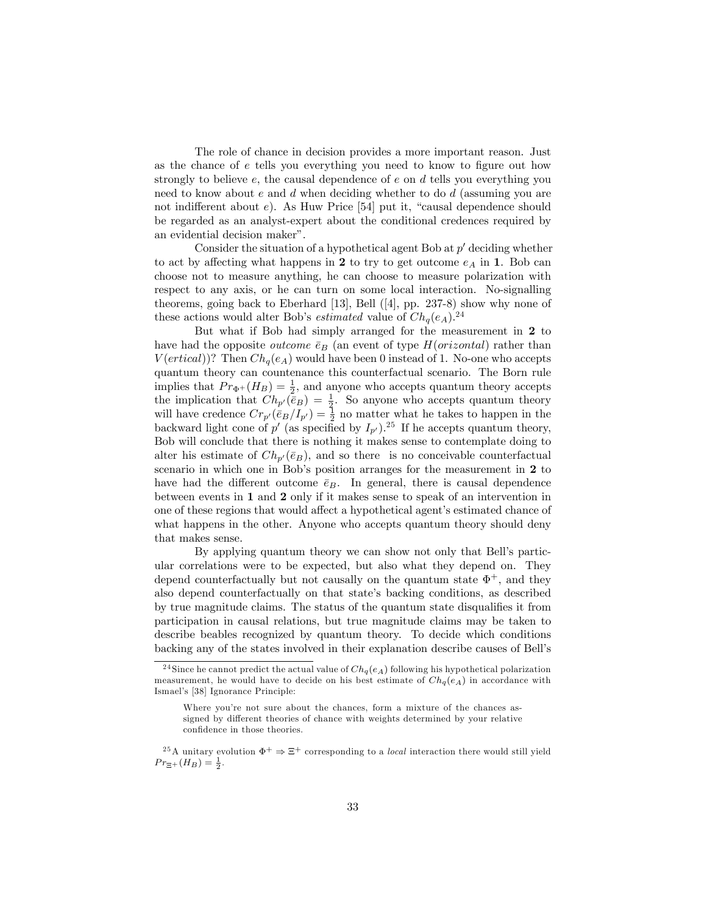The role of chance in decision provides a more important reason. Just as the chance of  $e$  tells you everything you need to know to figure out how strongly to believe e, the causal dependence of  $e$  on  $d$  tells you everything you need to know about  $e$  and  $d$  when deciding whether to do  $d$  (assuming you are not indifferent about e). As Huw Price  $[54]$  put it, "causal dependence should be regarded as an analyst-expert about the conditional credences required by an evidential decision maker".

Consider the situation of a hypothetical agent Bob at  $p'$  deciding whether to act by affecting what happens in 2 to try to get outcome  $e_A$  in 1. Bob can choose not to measure anything, he can choose to measure polarization with respect to any axis, or he can turn on some local interaction. No-signalling theorems, going back to Eberhard [13], Bell ([4], pp. 237-8) show why none of these actions would alter Bob's *estimated* value of  $Ch_q(e_A)$ .<sup>24</sup>

But what if Bob had simply arranged for the measurement in 2 to have had the opposite *outcome*  $\bar{e}_B$  (an event of type  $H(original)$  rather than  $V(ertical))$ ? Then  $Ch_q(e_A)$  would have been 0 instead of 1. No-one who accepts quantum theory can countenance this counterfactual scenario. The Born rule implies that  $Pr_{\Phi^+}(H_B) = \frac{1}{2}$ , and anyone who accepts quantum theory accepts the implication that  $Ch_{p'}(\tilde{e}_B) = \frac{1}{2}$ . So anyone who accepts quantum theory will have credence  $Cr_{p'}(\bar{e}_B/I_{p'}) = \frac{1}{2}$  no matter what he takes to happen in the backward light cone of  $p'$  (as specified by  $I_{p'}$ ).<sup>25</sup> If he accepts quantum theory, Bob will conclude that there is nothing it makes sense to contemplate doing to alter his estimate of  $Ch_{p'}(\bar{e}_B)$ , and so there is no conceivable counterfactual scenario in which one in Bob's position arranges for the measurement in 2 to have had the different outcome  $\bar{e}_B$ . In general, there is causal dependence between events in 1 and 2 only if it makes sense to speak of an intervention in one of these regions that would affect a hypothetical agent's estimated chance of what happens in the other. Anyone who accepts quantum theory should deny that makes sense.

By applying quantum theory we can show not only that Bell's particular correlations were to be expected, but also what they depend on. They depend counterfactually but not causally on the quantum state  $\Phi^+$ , and they also depend counterfactually on that state's backing conditions, as described by true magnitude claims. The status of the quantum state disqualifies it from participation in causal relations, but true magnitude claims may be taken to describe beables recognized by quantum theory. To decide which conditions backing any of the states involved in their explanation describe causes of Bellís

<sup>&</sup>lt;sup>24</sup> Since he cannot predict the actual value of  $Ch_q(e_A)$  following his hypothetical polarization measurement, he would have to decide on his best estimate of  $Ch_q(e_A)$  in accordance with Ismael's [38] Ignorance Principle:

Where you're not sure about the chances, form a mixture of the chances assigned by different theories of chance with weights determined by your relative confidence in those theories.

<sup>&</sup>lt;sup>25</sup>A unitary evolution  $\Phi^+ \Rightarrow \Xi^+$  corresponding to a *local* interaction there would still yield  $Pr_{\Xi^+}(H_B) = \frac{1}{2}.$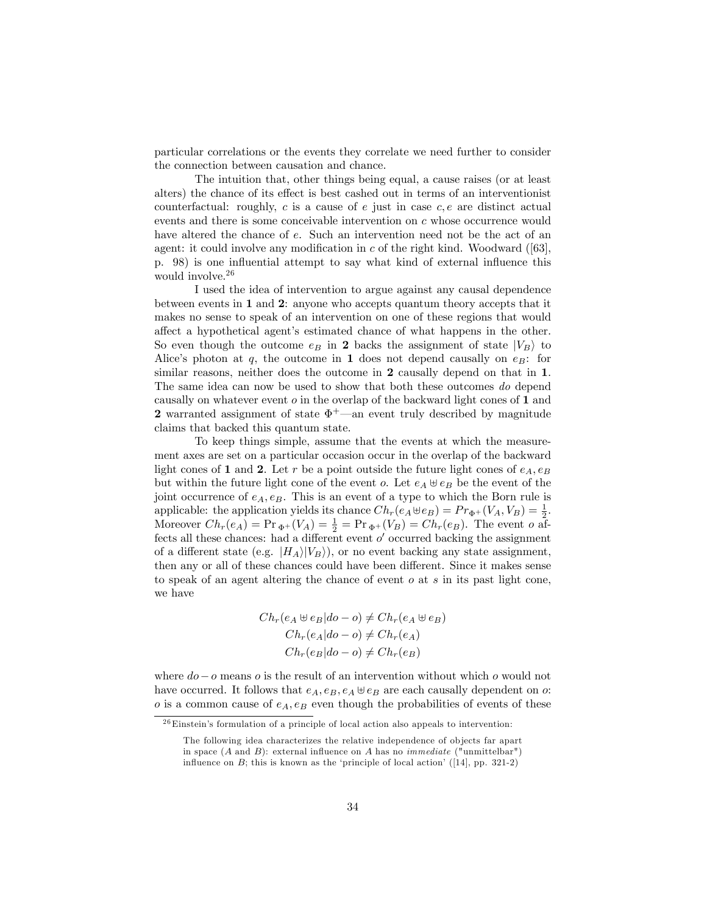particular correlations or the events they correlate we need further to consider the connection between causation and chance.

The intuition that, other things being equal, a cause raises (or at least alters) the chance of its effect is best cashed out in terms of an interventionist counterfactual: roughly, c is a cause of  $e$  just in case  $c, e$  are distinct actual events and there is some conceivable intervention on c whose occurrence would have altered the chance of e. Such an intervention need not be the act of an agent: it could involve any modification in  $c$  of the right kind. Woodward ([63], p. 98) is one influential attempt to say what kind of external influence this would involve.<sup>26</sup>

I used the idea of intervention to argue against any causal dependence between events in 1 and 2: anyone who accepts quantum theory accepts that it makes no sense to speak of an intervention on one of these regions that would affect a hypothetical agent's estimated chance of what happens in the other. So even though the outcome  $e_B$  in 2 backs the assignment of state  $|V_B\rangle$  to Alice's photon at q, the outcome in 1 does not depend causally on  $e_B$ : for similar reasons, neither does the outcome in 2 causally depend on that in 1. The same idea can now be used to show that both these outcomes do depend causally on whatever event  $o$  in the overlap of the backward light cones of  $1$  and 2 warranted assignment of state  $\Phi^+$ —an event truly described by magnitude claims that backed this quantum state.

To keep things simple, assume that the events at which the measurement axes are set on a particular occasion occur in the overlap of the backward light cones of 1 and 2. Let r be a point outside the future light cones of  $e_A, e_B$ but within the future light cone of the event *o*. Let  $e_A \oplus e_B$  be the event of the joint occurrence of  $e_A, e_B$ . This is an event of a type to which the Born rule is applicable: the application yields its chance  $Ch_r(e_A \oplus e_B) = Pr_{\Phi^+}(V_A, V_B) = \frac{1}{2}$ . Moreover  $Ch_r(e_A) = Pr_{\Phi^+}(V_A) = \frac{1}{2} = Pr_{\Phi^+}(V_B) = Ch_r(e_B)$ . The event o affects all these chances: had a different event  $o'$  occurred backing the assignment of a different state (e.g.  $|H_A\rangle|V_B\rangle$ ), or no event backing any state assignment, then any or all of these chances could have been different. Since it makes sense to speak of an agent altering the chance of event  $o$  at  $s$  in its past light cone, we have

$$
Ch_r(e_A \oplus e_B|do - o) \neq Ch_r(e_A \oplus e_B)
$$
  
\n
$$
Ch_r(e_A|do - o) \neq Ch_r(e_A)
$$
  
\n
$$
Ch_r(e_B|do - o) \neq Ch_r(e_B)
$$

where  $do - o$  means o is the result of an intervention without which o would not have occurred. It follows that  $e_A, e_B, e_A \oplus e_B$  are each causally dependent on o:  $\sigma$  is a common cause of  $e_A, e_B$  even though the probabilities of events of these

 $^{26}$ Einstein's formulation of a principle of local action also appeals to intervention:

The following idea characterizes the relative independence of ob jects far apart in space  $(A \text{ and } B)$ : external influence on A has no *immediate* ("unmittelbar") influence on  $B$ ; this is known as the 'principle of local action' ([14], pp. 321-2)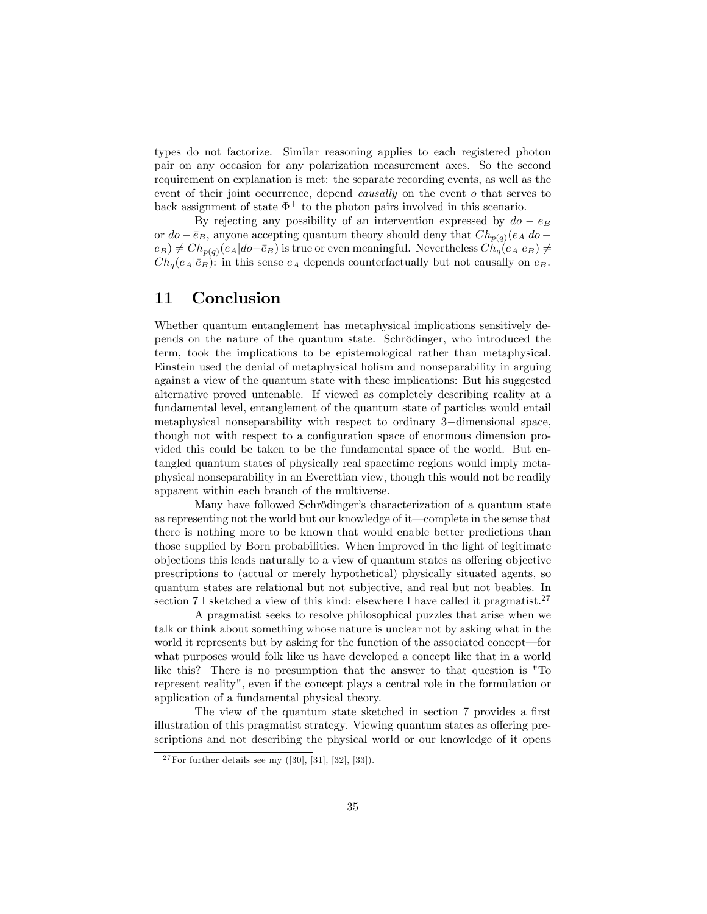types do not factorize. Similar reasoning applies to each registered photon pair on any occasion for any polarization measurement axes. So the second requirement on explanation is met: the separate recording events, as well as the event of their joint occurrence, depend causally on the event o that serves to back assignment of state  $\Phi^+$  to the photon pairs involved in this scenario.

By rejecting any possibility of an intervention expressed by  $do - e_B$ or  $do - \bar{e}_B$ , anyone accepting quantum theory should deny that  $Ch_{p(q)}(e_A|do$  $e_B$ )  $\neq Ch_{p(q)}(e_A|do-\bar{e}_B)$  is true or even meaningful. Nevertheless  $Ch_q(e_A|e_B) \neq$  $Ch_q(e_A|\bar{e}_B)$ : in this sense  $e_A$  depends counterfactually but not causally on  $e_B$ .

#### 11 Conclusion

Whether quantum entanglement has metaphysical implications sensitively depends on the nature of the quantum state. Schrödinger, who introduced the term, took the implications to be epistemological rather than metaphysical. Einstein used the denial of metaphysical holism and nonseparability in arguing against a view of the quantum state with these implications: But his suggested alternative proved untenable. If viewed as completely describing reality at a fundamental level, entanglement of the quantum state of particles would entail metaphysical nonseparability with respect to ordinary 3-dimensional space, though not with respect to a configuration space of enormous dimension provided this could be taken to be the fundamental space of the world. But entangled quantum states of physically real spacetime regions would imply metaphysical nonseparability in an Everettian view, though this would not be readily apparent within each branch of the multiverse.

Many have followed Schrödinger's characterization of a quantum state as representing not the world but our knowledge of it—complete in the sense that there is nothing more to be known that would enable better predictions than those supplied by Born probabilities. When improved in the light of legitimate objections this leads naturally to a view of quantum states as offering objective prescriptions to (actual or merely hypothetical) physically situated agents, so quantum states are relational but not subjective, and real but not beables. In section 7 I sketched a view of this kind: elsewhere I have called it pragmatist.<sup>27</sup>

A pragmatist seeks to resolve philosophical puzzles that arise when we talk or think about something whose nature is unclear not by asking what in the world it represents but by asking for the function of the associated concept—for what purposes would folk like us have developed a concept like that in a world like this? There is no presumption that the answer to that question is "To represent reality", even if the concept plays a central role in the formulation or application of a fundamental physical theory.

The view of the quantum state sketched in section 7 provides a first illustration of this pragmatist strategy. Viewing quantum states as offering prescriptions and not describing the physical world or our knowledge of it opens

 $27\,\text{For further details see my (30], [31], [32], [33]).}$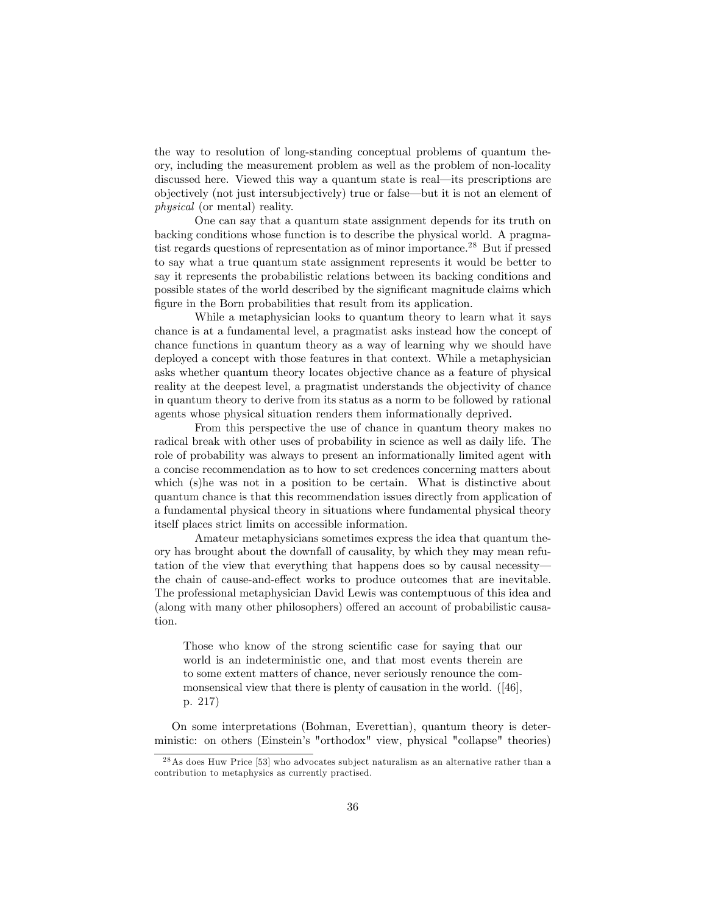the way to resolution of long-standing conceptual problems of quantum theory, including the measurement problem as well as the problem of non-locality discussed here. Viewed this way a quantum state is real—its prescriptions are objectively (not just intersubjectively) true or false—but it is not an element of physical (or mental) reality.

One can say that a quantum state assignment depends for its truth on backing conditions whose function is to describe the physical world. A pragmatist regards questions of representation as of minor importance.<sup>28</sup> But if pressed to say what a true quantum state assignment represents it would be better to say it represents the probabilistic relations between its backing conditions and possible states of the world described by the significant magnitude claims which figure in the Born probabilities that result from its application.

While a metaphysician looks to quantum theory to learn what it says chance is at a fundamental level, a pragmatist asks instead how the concept of chance functions in quantum theory as a way of learning why we should have deployed a concept with those features in that context. While a metaphysician asks whether quantum theory locates objective chance as a feature of physical reality at the deepest level, a pragmatist understands the objectivity of chance in quantum theory to derive from its status as a norm to be followed by rational agents whose physical situation renders them informationally deprived.

From this perspective the use of chance in quantum theory makes no radical break with other uses of probability in science as well as daily life. The role of probability was always to present an informationally limited agent with a concise recommendation as to how to set credences concerning matters about which (s)he was not in a position to be certain. What is distinctive about quantum chance is that this recommendation issues directly from application of a fundamental physical theory in situations where fundamental physical theory itself places strict limits on accessible information.

Amateur metaphysicians sometimes express the idea that quantum theory has brought about the downfall of causality, by which they may mean refutation of the view that everything that happens does so by causal necessity the chain of cause-and-effect works to produce outcomes that are inevitable. The professional metaphysician David Lewis was contemptuous of this idea and (along with many other philosophers) offered an account of probabilistic causation.

Those who know of the strong scientific case for saying that our world is an indeterministic one, and that most events therein are to some extent matters of chance, never seriously renounce the commonsensical view that there is plenty of causation in the world. ([46], p. 217)

On some interpretations (Bohman, Everettian), quantum theory is deterministic: on others (Einsteinís "orthodox" view, physical "collapse" theories)

<sup>&</sup>lt;sup>28</sup>As does Huw Price [53] who advocates subject naturalism as an alternative rather than a contribution to metaphysics as currently practised.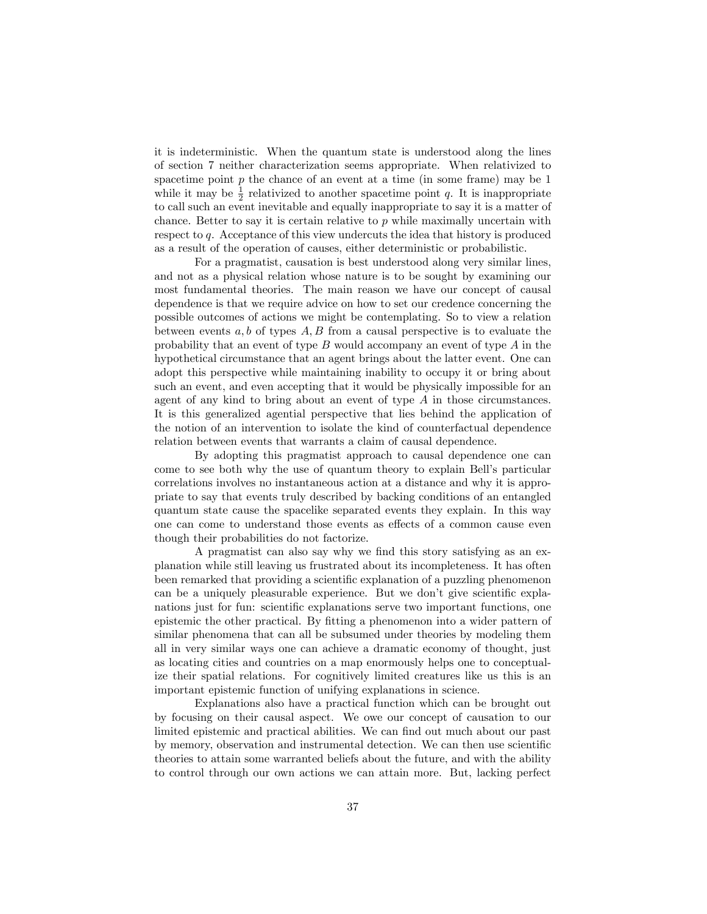it is indeterministic. When the quantum state is understood along the lines of section 7 neither characterization seems appropriate. When relativized to spacetime point  $p$  the chance of an event at a time (in some frame) may be 1 while it may be  $\frac{1}{2}$  relativized to another spacetime point q. It is inappropriate to call such an event inevitable and equally inappropriate to say it is a matter of chance. Better to say it is certain relative to  $p$  while maximally uncertain with respect to q. Acceptance of this view undercuts the idea that history is produced as a result of the operation of causes, either deterministic or probabilistic.

For a pragmatist, causation is best understood along very similar lines, and not as a physical relation whose nature is to be sought by examining our most fundamental theories. The main reason we have our concept of causal dependence is that we require advice on how to set our credence concerning the possible outcomes of actions we might be contemplating. So to view a relation between events  $a, b$  of types  $A, B$  from a causal perspective is to evaluate the probability that an event of type  $B$  would accompany an event of type  $A$  in the hypothetical circumstance that an agent brings about the latter event. One can adopt this perspective while maintaining inability to occupy it or bring about such an event, and even accepting that it would be physically impossible for an agent of any kind to bring about an event of type A in those circumstances. It is this generalized agential perspective that lies behind the application of the notion of an intervention to isolate the kind of counterfactual dependence relation between events that warrants a claim of causal dependence.

By adopting this pragmatist approach to causal dependence one can come to see both why the use of quantum theory to explain Bell's particular correlations involves no instantaneous action at a distance and why it is appropriate to say that events truly described by backing conditions of an entangled quantum state cause the spacelike separated events they explain. In this way one can come to understand those events as effects of a common cause even though their probabilities do not factorize.

A pragmatist can also say why we find this story satisfying as an explanation while still leaving us frustrated about its incompleteness. It has often been remarked that providing a scientific explanation of a puzzling phenomenon can be a uniquely pleasurable experience. But we don't give scientific explanations just for fun: scientific explanations serve two important functions, one epistemic the other practical. By fitting a phenomenon into a wider pattern of similar phenomena that can all be subsumed under theories by modeling them all in very similar ways one can achieve a dramatic economy of thought, just as locating cities and countries on a map enormously helps one to conceptualize their spatial relations. For cognitively limited creatures like us this is an important epistemic function of unifying explanations in science.

Explanations also have a practical function which can be brought out by focusing on their causal aspect. We owe our concept of causation to our limited epistemic and practical abilities. We can find out much about our past by memory, observation and instrumental detection. We can then use scientific theories to attain some warranted beliefs about the future, and with the ability to control through our own actions we can attain more. But, lacking perfect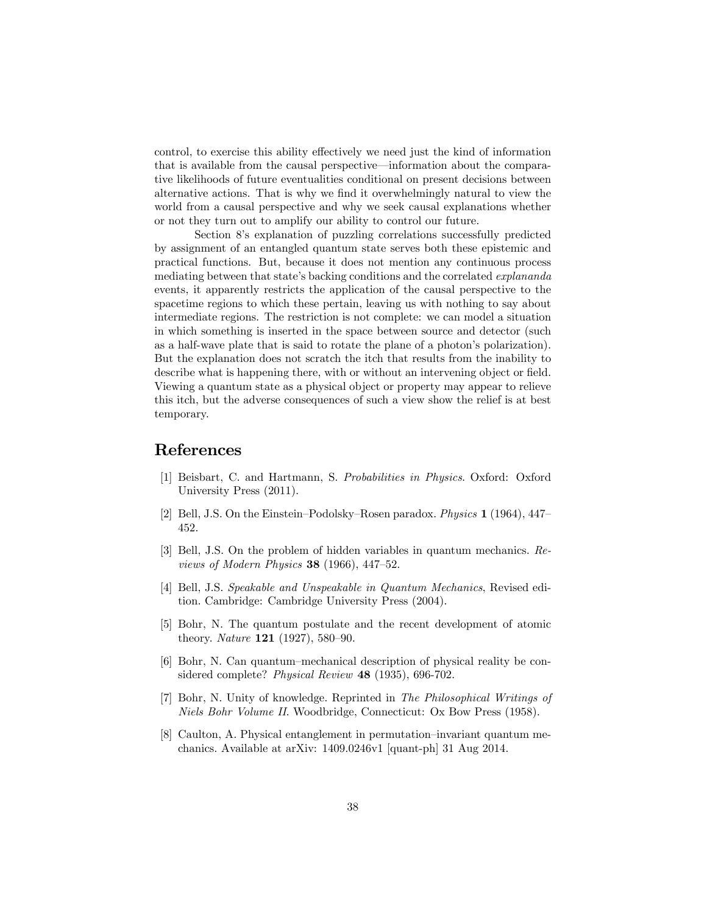control, to exercise this ability effectively we need just the kind of information that is available from the causal perspective—information about the comparative likelihoods of future eventualities conditional on present decisions between alternative actions. That is why we find it overwhelmingly natural to view the world from a causal perspective and why we seek causal explanations whether or not they turn out to amplify our ability to control our future.

Section 8's explanation of puzzling correlations successfully predicted by assignment of an entangled quantum state serves both these epistemic and practical functions. But, because it does not mention any continuous process mediating between that state's backing conditions and the correlated *explananda* events, it apparently restricts the application of the causal perspective to the spacetime regions to which these pertain, leaving us with nothing to say about intermediate regions. The restriction is not complete: we can model a situation in which something is inserted in the space between source and detector (such as a half-wave plate that is said to rotate the plane of a photon's polarization). But the explanation does not scratch the itch that results from the inability to describe what is happening there, with or without an intervening object or field. Viewing a quantum state as a physical object or property may appear to relieve this itch, but the adverse consequences of such a view show the relief is at best temporary.

#### References

- [1] Beisbart, C. and Hartmann, S. Probabilities in Physics. Oxford: Oxford University Press (2011).
- [2] Bell, J.S. On the Einstein–Podolsky–Rosen paradox. Physics 1 (1964), 447– 452.
- [3] Bell, J.S. On the problem of hidden variables in quantum mechanics. Re*views of Modern Physics* **38** (1966), 447–52.
- [4] Bell, J.S. Speakable and Unspeakable in Quantum Mechanics, Revised edition. Cambridge: Cambridge University Press (2004).
- [5] Bohr, N. The quantum postulate and the recent development of atomic theory. *Nature* **121** (1927), 580–90.
- $[6]$  Bohr, N. Can quantum–mechanical description of physical reality be considered complete? Physical Review 48 (1935), 696-702.
- [7] Bohr, N. Unity of knowledge. Reprinted in The Philosophical Writings of Niels Bohr Volume II. Woodbridge, Connecticut: Ox Bow Press (1958).
- [8] Caulton, A. Physical entanglement in permutation–invariant quantum mechanics. Available at arXiv: 1409.0246v1 [quant-ph] 31 Aug 2014.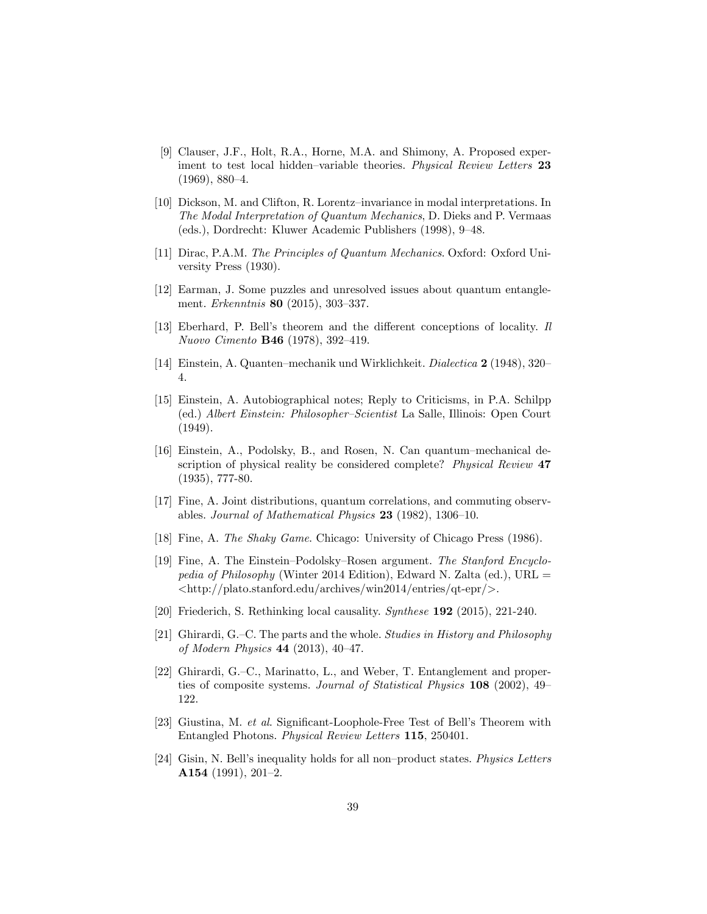- [9] Clauser, J.F., Holt, R.A., Horne, M.A. and Shimony, A. Proposed experiment to test local hidden-variable theories. Physical Review Letters 23  $(1969), 880-4.$
- [10] Dickson, M. and Clifton, R. Lorentz–invariance in modal interpretations. In The Modal Interpretation of Quantum Mechanics, D. Dieks and P. Vermaas (eds.), Dordrecht: Kluwer Academic Publishers  $(1998)$ , 9–48.
- [11] Dirac, P.A.M. The Principles of Quantum Mechanics. Oxford: Oxford University Press (1930).
- [12] Earman, J. Some puzzles and unresolved issues about quantum entanglement. Erkenntnis 80 (2015), 303-337.
- [13] Eberhard, P. Bell's theorem and the different conceptions of locality.  $Il$ Nuovo Cimento **B46** (1978), 392–419.
- [14] Einstein, A. Quanten–mechanik und Wirklichkeit. Dialectica  $2(1948)$ , 320– 4.
- [15] Einstein, A. Autobiographical notes; Reply to Criticisms, in P.A. Schilpp (ed.) Albert Einstein: Philosopher–Scientist La Salle, Illinois: Open Court (1949).
- [16] Einstein, A., Podolsky, B., and Rosen, N. Can quantum–mechanical description of physical reality be considered complete? *Physical Review* 47 (1935), 777-80.
- [17] Fine, A. Joint distributions, quantum correlations, and commuting observables. Journal of Mathematical Physics  $23$  (1982), 1306–10.
- [18] Fine, A. The Shaky Game. Chicago: University of Chicago Press (1986).
- [19] Fine, A. The Einstein–Podolsky–Rosen argument. The Stanford Encyclopedia of Philosophy (Winter 2014 Edition), Edward N. Zalta (ed.), URL  $=$ <http://plato.stanford.edu/archives/win2014/entries/qt-epr/>.
- [20] Friederich, S. Rethinking local causality. Synthese 192 (2015), 221-240.
- [21] Ghirardi, G.–C. The parts and the whole. Studies in History and Philosophy of Modern Physics 44 (2013),  $40-47$ .
- [22] Ghirardi, G.–C., Marinatto, L., and Weber, T. Entanglement and properties of composite systems. Journal of Statistical Physics 108 (2002), 49 122.
- [23] Giustina, M. et al. Significant-Loophole-Free Test of Bell's Theorem with Entangled Photons. Physical Review Letters 115, 250401.
- [24] Gisin, N. Bell's inequality holds for all non-product states. Physics Letters A154 (1991),  $201-2$ .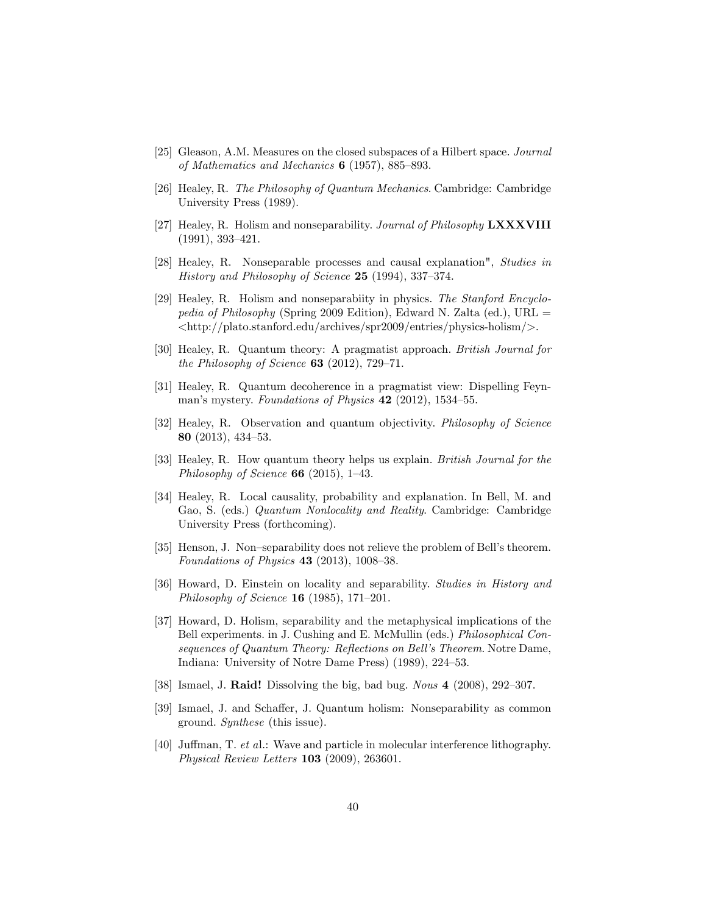- [25] Gleason, A.M. Measures on the closed subspaces of a Hilbert space. Journal of Mathematics and Mechanics  $6$  (1957), 885–893.
- [26] Healey, R. The Philosophy of Quantum Mechanics. Cambridge: Cambridge University Press (1989).
- [27] Healey, R. Holism and nonseparability. Journal of Philosophy LXXXVIII  $(1991), 393 - 421.$
- [28] Healey, R. Nonseparable processes and causal explanation", Studies in History and Philosophy of Science  $25$  (1994), 337–374.
- [29] Healey, R. Holism and nonseparabiity in physics. The Stanford Encyclo*pedia of Philosophy* (Spring 2009 Edition), Edward N. Zalta (ed.), URL  $=$ <http://plato.stanford.edu/archives/spr2009/entries/physics-holism/>.
- [30] Healey, R. Quantum theory: A pragmatist approach. British Journal for the Philosophy of Science  $63$  (2012), 729–71.
- [31] Healey, R. Quantum decoherence in a pragmatist view: Dispelling Feynman's mystery. Foundations of Physics  $42$  (2012), 1534–55.
- [32] Healey, R. Observation and quantum objectivity. Philosophy of Science 80  $(2013)$ , 434-53.
- [33] Healey, R. How quantum theory helps us explain. British Journal for the Philosophy of Science 66 (2015), 1–43.
- [34] Healey, R. Local causality, probability and explanation. In Bell, M. and Gao, S. (eds.) Quantum Nonlocality and Reality. Cambridge: Cambridge University Press (forthcoming).
- [35] Henson, J. Non-separability does not relieve the problem of Bell's theorem. Foundations of Physics  $43$  (2013), 1008–38.
- [36] Howard, D. Einstein on locality and separability. Studies in History and Philosophy of Science  $16$  (1985), 171–201.
- [37] Howard, D. Holism, separability and the metaphysical implications of the Bell experiments. in J. Cushing and E. McMullin (eds.) Philosophical Consequences of Quantum Theory: Reflections on Bell's Theorem. Notre Dame, Indiana: University of Notre Dame Press) (1989), 224–53.
- [38] Ismael, J. Raid! Dissolving the big, bad bug. Nous  $4$  (2008), 292-307.
- [39] Ismael, J. and Schaffer, J. Quantum holism: Nonseparability as common ground. Synthese (this issue).
- [40] Juffman, T. et al.: Wave and particle in molecular interference lithography. Physical Review Letters 103 (2009), 263601.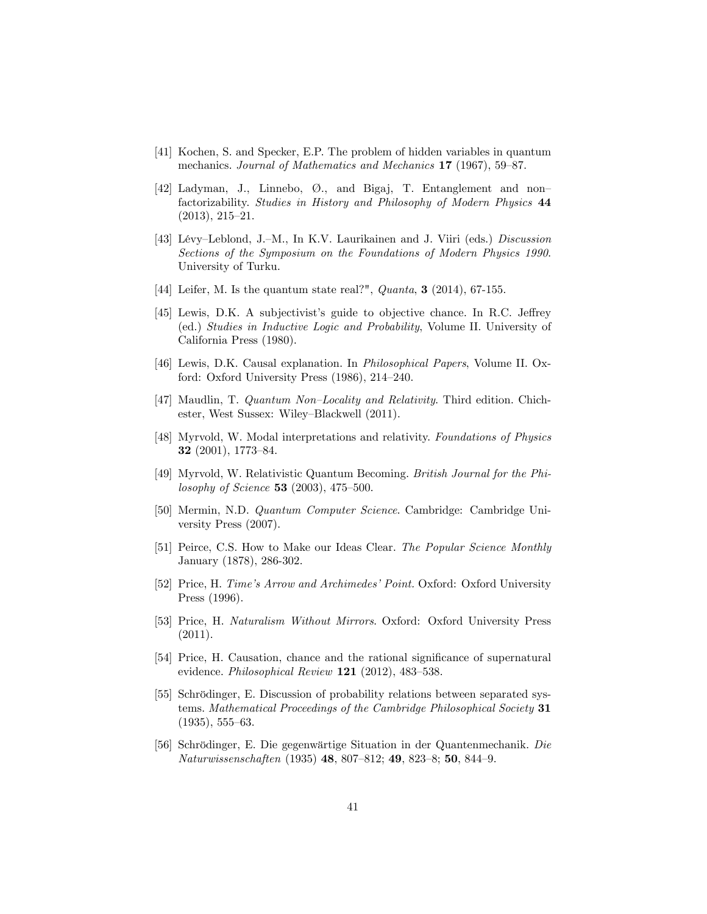- [41] Kochen, S. and Specker, E.P. The problem of hidden variables in quantum mechanics. Journal of Mathematics and Mechanics 17 (1967), 59-87.
- [42] Ladyman, J., Linnebo,  $\varnothing$ ., and Bigaj, T. Entanglement and nonfactorizability. Studies in History and Philosophy of Modern Physics 44  $(2013), 215-21.$
- [43] Lévy–Leblond, J.–M., In K.V. Laurikainen and J. Viiri (eds.) Discussion Sections of the Symposium on the Foundations of Modern Physics 1990. University of Turku.
- [44] Leifer, M. Is the quantum state real?", *Quanta*, **3** (2014), 67-155.
- $[45]$  Lewis, D.K. A subjectivist's guide to objective chance. In R.C. Jeffrey (ed.) Studies in Inductive Logic and Probability, Volume II. University of California Press (1980).
- [46] Lewis, D.K. Causal explanation. In Philosophical Papers, Volume II. Oxford: Oxford University Press  $(1986)$ ,  $214-240$ .
- [47] Maudlin, T. Quantum Non-Locality and Relativity. Third edition. Chichester, West Sussex: Wiley-Blackwell (2011).
- [48] Myrvold, W. Modal interpretations and relativity. Foundations of Physics **32** (2001), 1773-84.
- [49] Myrvold, W. Relativistic Quantum Becoming. British Journal for the Philosophy of Science 53 (2003), 475–500.
- [50] Mermin, N.D. Quantum Computer Science. Cambridge: Cambridge University Press (2007).
- [51] Peirce, C.S. How to Make our Ideas Clear. The Popular Science Monthly January (1878), 286-302.
- [52] Price, H. Time's Arrow and Archimedes' Point. Oxford: Oxford University Press (1996).
- [53] Price, H. Naturalism Without Mirrors. Oxford: Oxford University Press (2011).
- [54] Price, H. Causation, chance and the rational significance of supernatural evidence. Philosophical Review  $121$  (2012), 483-538.
- [55] Schrödinger, E. Discussion of probability relations between separated systems. Mathematical Proceedings of the Cambridge Philosophical Society 31  $(1935), 555-63.$
- [56] Schrödinger, E. Die gegenwärtige Situation in der Quantenmechanik. Die  $Naturwissenschaften (1935)$  48, 807-812; 49, 823-8; 50, 844-9.